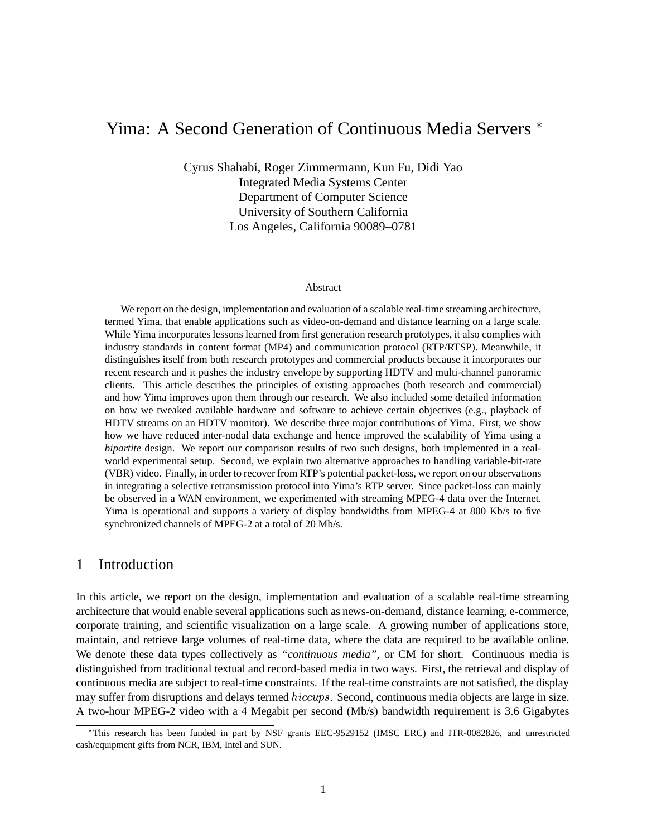# Yima: A Second Generation of Continuous Media Servers

Cyrus Shahabi, Roger Zimmermann, Kun Fu, Didi Yao Integrated Media Systems Center Department of Computer Science University of Southern California Los Angeles, California 90089–0781

#### Abstract

We report on the design, implementation and evaluation of a scalable real-time streaming architecture, termed Yima, that enable applications such as video-on-demand and distance learning on a large scale. While Yima incorporates lessons learned from first generation research prototypes, it also complies with industry standards in content format (MP4) and communication protocol (RTP/RTSP). Meanwhile, it distinguishes itself from both research prototypes and commercial products because it incorporates our recent research and it pushes the industry envelope by supporting HDTV and multi-channel panoramic clients. This article describes the principles of existing approaches (both research and commercial) and how Yima improves upon them through our research. We also included some detailed information on how we tweaked available hardware and software to achieve certain objectives (e.g., playback of HDTV streams on an HDTV monitor). We describe three major contributions of Yima. First, we show how we have reduced inter-nodal data exchange and hence improved the scalability of Yima using a *bipartite* design. We report our comparison results of two such designs, both implemented in a realworld experimental setup. Second, we explain two alternative approaches to handling variable-bit-rate (VBR) video. Finally, in order to recover from RTP's potential packet-loss, we report on our observations in integrating a selective retransmission protocol into Yima's RTP server. Since packet-loss can mainly be observed in a WAN environment, we experimented with streaming MPEG-4 data over the Internet. Yima is operational and supports a variety of display bandwidths from MPEG-4 at 800 Kb/s to five synchronized channels of MPEG-2 at a total of 20 Mb/s.

# 1 Introduction

In this article, we report on the design, implementation and evaluation of a scalable real-time streaming architecture that would enable several applications such as news-on-demand, distance learning, e-commerce, corporate training, and scientific visualization on a large scale. A growing number of applications store, maintain, and retrieve large volumes of real-time data, where the data are required to be available online. We denote these data types collectively as *"continuous media"*, or CM for short. Continuous media is distinguished from traditional textual and record-based media in two ways. First, the retrieval and display of continuous media are subject to real-time constraints. If the real-time constraints are not satisfied, the display may suffer from disruptions and delays termed hiccups. Second, continuous media objects are large in size. A two-hour MPEG-2 video with a 4 Megabit per second (Mb/s) bandwidth requirement is 3.6 Gigabytes

 This research has been funded in part by NSF grants EEC-9529152 (IMSC ERC) and ITR-0082826, and unrestricted cash/equipment gifts from NCR, IBM, Intel and SUN.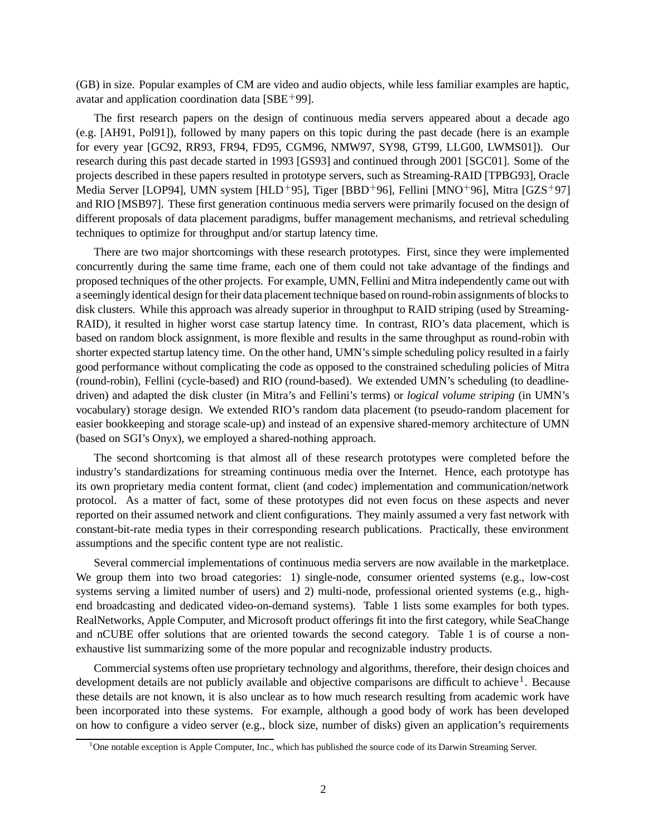(GB) in size. Popular examples of CM are video and audio objects, while less familiar examples are haptic, avatar and application coordination data  $[SBE^+99]$ .

The first research papers on the design of continuous media servers appeared about a decade ago (e.g. [AH91, Pol91]), followed by many papers on this topic during the past decade (here is an example for every year [GC92, RR93, FR94, FD95, CGM96, NMW97, SY98, GT99, LLG00, LWMS01]). Our research during this past decade started in 1993 [GS93] and continued through 2001 [SGC01]. Some of the projects described in these papers resulted in prototype servers, such as Streaming-RAID [TPBG93], Oracle Media Server [LOP94], UMN system [HLD<sup>+</sup>95], Tiger [BBD<sup>+</sup>96], Fellini [MNO<sup>+</sup>96], Mitra [GZS<sup>+</sup>97] and RIO [MSB97]. These first generation continuous media servers were primarily focused on the design of different proposals of data placement paradigms, buffer management mechanisms, and retrieval scheduling techniques to optimize for throughput and/or startup latency time.

There are two major shortcomings with these research prototypes. First, since they were implemented concurrently during the same time frame, each one of them could not take advantage of the findings and proposed techniques of the other projects. For example, UMN, Fellini and Mitra independently came out with a seemingly identical design for their data placement technique based on round-robin assignments of blocksto disk clusters. While this approach was already superior in throughput to RAID striping (used by Streaming-RAID), it resulted in higher worst case startup latency time. In contrast, RIO's data placement, which is based on random block assignment, is more flexible and results in the same throughput as round-robin with shorter expected startup latency time. On the other hand, UMN'ssimple scheduling policy resulted in a fairly good performance without complicating the code as opposed to the constrained scheduling policies of Mitra (round-robin), Fellini (cycle-based) and RIO (round-based). We extended UMN's scheduling (to deadlinedriven) and adapted the disk cluster (in Mitra's and Fellini's terms) or *logical volume striping* (in UMN's vocabulary) storage design. We extended RIO's random data placement (to pseudo-random placement for easier bookkeeping and storage scale-up) and instead of an expensive shared-memory architecture of UMN (based on SGI's Onyx), we employed a shared-nothing approach.

The second shortcoming is that almost all of these research prototypes were completed before the industry's standardizations for streaming continuous media over the Internet. Hence, each prototype has its own proprietary media content format, client (and codec) implementation and communication/network protocol. As a matter of fact, some of these prototypes did not even focus on these aspects and never reported on their assumed network and client configurations. They mainly assumed a very fast network with constant-bit-rate media types in their corresponding research publications. Practically, these environment assumptions and the specific content type are not realistic.

Several commercial implementations of continuous media servers are now available in the marketplace. We group them into two broad categories: 1) single-node, consumer oriented systems (e.g., low-cost systems serving a limited number of users) and 2) multi-node, professional oriented systems (e.g., highend broadcasting and dedicated video-on-demand systems). Table 1 lists some examples for both types. RealNetworks, Apple Computer, and Microsoft product offerings fit into the first category, while SeaChange and nCUBE offer solutions that are oriented towards the second category. Table 1 is of course a nonexhaustive list summarizing some of the more popular and recognizable industry products.

Commercial systems often use proprietary technology and algorithms, therefore, their design choices and development details are not publicly available and objective comparisons are difficult to achieve<sup>1</sup>. Because these details are not known, it is also unclear as to how much research resulting from academic work have been incorporated into these systems. For example, although a good body of work has been developed on how to configure a video server (e.g., block size, number of disks) given an application's requirements

<sup>&</sup>lt;sup>1</sup>One notable exception is Apple Computer, Inc., which has published the source code of its Darwin Streaming Server.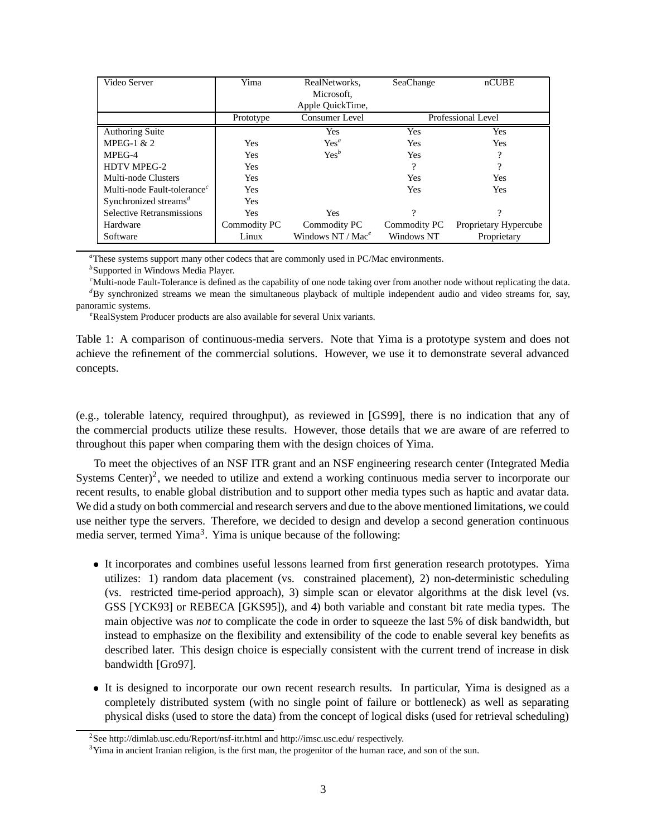| Video Server                            | Yima         | RealNetworks,        | SeaChange          | nCUBE                 |
|-----------------------------------------|--------------|----------------------|--------------------|-----------------------|
|                                         |              | Microsoft,           |                    |                       |
|                                         |              | Apple QuickTime,     |                    |                       |
|                                         | Prototype    | Consumer Level       | Professional Level |                       |
| Authoring Suite                         |              | <b>Yes</b>           | Yes                | <b>Yes</b>            |
| MPEG-1 $& 2$                            | <b>Yes</b>   | $Yes^a$              | Yes                | <b>Yes</b>            |
| MPEG-4                                  | <b>Yes</b>   | $Yes^b$              | <b>Yes</b>         | റ                     |
| <b>HDTV MPEG-2</b>                      | <b>Yes</b>   |                      | 9                  | າ                     |
| Multi-node Clusters                     | <b>Yes</b>   |                      | <b>Yes</b>         | <b>Yes</b>            |
| Multi-node Fault-tolerance <sup>c</sup> | Yes          |                      | Yes                | <b>Yes</b>            |
| Synchronized streams <sup>d</sup>       | Yes          |                      |                    |                       |
| Selective Retransmissions               | Yes          | <b>Yes</b>           | 9                  | $\Omega$              |
| Hardware                                | Commodity PC | Commodity PC         | Commodity PC       | Proprietary Hypercube |
| Software                                | Linux        | Windows NT / $Mae^e$ | Windows NT         | Proprietary           |

*<sup>a</sup>*These systems support many other codecs that are commonly used in PC/Mac environments.

<sup>*b*</sup>Supported in Windows Media Player.

<sup>*c*</sup>Multi-node Fault-Tolerance is defined as the capability of one node taking over from another node without replicating the data. *<sup>d</sup>*By synchronized streams we mean the simultaneous playback of multiple independent audio and video streams for, say, panoramic systems.

<sup>e</sup>RealSystem Producer products are also available for several Unix variants.

Table 1: A comparison of continuous-media servers. Note that Yima is a prototype system and does not achieve the refinement of the commercial solutions. However, we use it to demonstrate several advanced concepts.

(e.g., tolerable latency, required throughput), as reviewed in [GS99], there is no indication that any of the commercial products utilize these results. However, those details that we are aware of are referred to throughout this paper when comparing them with the design choices of Yima.

To meet the objectives of an NSF ITR grant and an NSF engineering research center (Integrated Media Systems Center)<sup>2</sup>, we needed to utilize and extend a working continuous media server to incorporate our recent results, to enable global distribution and to support other media types such as haptic and avatar data. We did a study on both commercial and research servers and due to the above mentioned limitations, we could use neither type the servers. Therefore, we decided to design and develop a second generation continuous media server, termed Yima<sup>3</sup>. Yima is unique because of the following:

- It incorporates and combines useful lessons learned from first generation research prototypes. Yima utilizes: 1) random data placement (vs. constrained placement), 2) non-deterministic scheduling (vs. restricted time-period approach), 3) simple scan or elevator algorithms at the disk level (vs. GSS [YCK93] or REBECA [GKS95]), and 4) both variable and constant bit rate media types. The main objective was *not* to complicate the code in order to squeeze the last 5% of disk bandwidth, but instead to emphasize on the flexibility and extensibility of the code to enable several key benefits as described later. This design choice is especially consistent with the current trend of increase in disk bandwidth [Gro97].
- It is designed to incorporate our own recent research results. In particular, Yima is designed as a completely distributed system (with no single point of failure or bottleneck) as well as separating physical disks (used to store the data) from the concept of logical disks (used for retrieval scheduling)

<sup>&</sup>lt;sup>2</sup>See http://dimlab.usc.edu/Report/nsf-itr.html and http://imsc.usc.edu/ respectively.

<sup>&</sup>lt;sup>3</sup>Yima in ancient Iranian religion, is the first man, the progenitor of the human race, and son of the sun.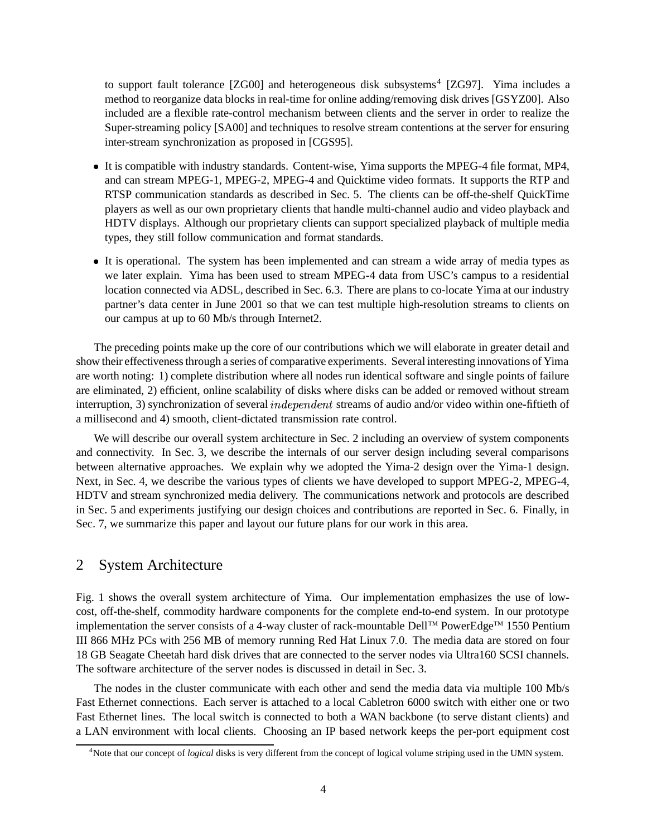to support fault tolerance [ZG00] and heterogeneous disk subsystems<sup>4</sup> [ZG97]. Yima includes a method to reorganize data blocks in real-time for online adding/removing disk drives [GSYZ00]. Also included are a flexible rate-control mechanism between clients and the server in order to realize the Super-streaming policy [SA00] and techniques to resolve stream contentions at the server for ensuring inter-stream synchronization as proposed in [CGS95].

- It is compatible with industry standards. Content-wise, Yima supports the MPEG-4 file format, MP4, and can stream MPEG-1, MPEG-2, MPEG-4 and Quicktime video formats. It supports the RTP and RTSP communication standards as described in Sec. 5. The clients can be off-the-shelf QuickTime players as well as our own proprietary clients that handle multi-channel audio and video playback and HDTV displays. Although our proprietary clients can support specialized playback of multiple media types, they still follow communication and format standards.
- It is operational. The system has been implemented and can stream a wide array of media types as we later explain. Yima has been used to stream MPEG-4 data from USC's campus to a residential location connected via ADSL, described in Sec. 6.3. There are plans to co-locate Yima at our industry partner's data center in June 2001 so that we can test multiple high-resolution streams to clients on our campus at up to 60 Mb/s through Internet2.

The preceding points make up the core of our contributions which we will elaborate in greater detail and show their effectivenessthrough a series of comparative experiments. Several interesting innovations of Yima are worth noting: 1) complete distribution where all nodes run identical software and single points of failure are eliminated, 2) efficient, online scalability of disks where disks can be added or removed without stream interruption, 3) synchronization of several  $independent$  streams of audio and/or video within one-fiftieth of a millisecond and 4) smooth, client-dictated transmission rate control.

We will describe our overall system architecture in Sec. 2 including an overview of system components and connectivity. In Sec. 3, we describe the internals of our server design including several comparisons between alternative approaches. We explain why we adopted the Yima-2 design over the Yima-1 design. Next, in Sec. 4, we describe the various types of clients we have developed to support MPEG-2, MPEG-4, HDTV and stream synchronized media delivery. The communications network and protocols are described in Sec. 5 and experiments justifying our design choices and contributions are reported in Sec. 6. Finally, in Sec. 7, we summarize this paper and layout our future plans for our work in this area.

# 2 System Architecture

Fig. 1 shows the overall system architecture of Yima. Our implementation emphasizes the use of lowcost, off-the-shelf, commodity hardware components for the complete end-to-end system. In our prototype implementation the server consists of a 4-way cluster of rack-mountable Dell™ PowerEdge™ 1550 Pentium III 866 MHz PCs with 256 MB of memory running Red Hat Linux 7.0. The media data are stored on four 18 GB Seagate Cheetah hard disk drives that are connected to the server nodes via Ultra160 SCSI channels. The software architecture of the server nodes is discussed in detail in Sec. 3.

The nodes in the cluster communicate with each other and send the media data via multiple 100 Mb/s Fast Ethernet connections. Each server is attached to a local Cabletron 6000 switch with either one or two Fast Ethernet lines. The local switch is connected to both a WAN backbone (to serve distant clients) and a LAN environment with local clients. Choosing an IP based network keeps the per-port equipment cost

<sup>4</sup>Note that our concept of *logical* disks is very different from the concept of logical volume striping used in the UMN system.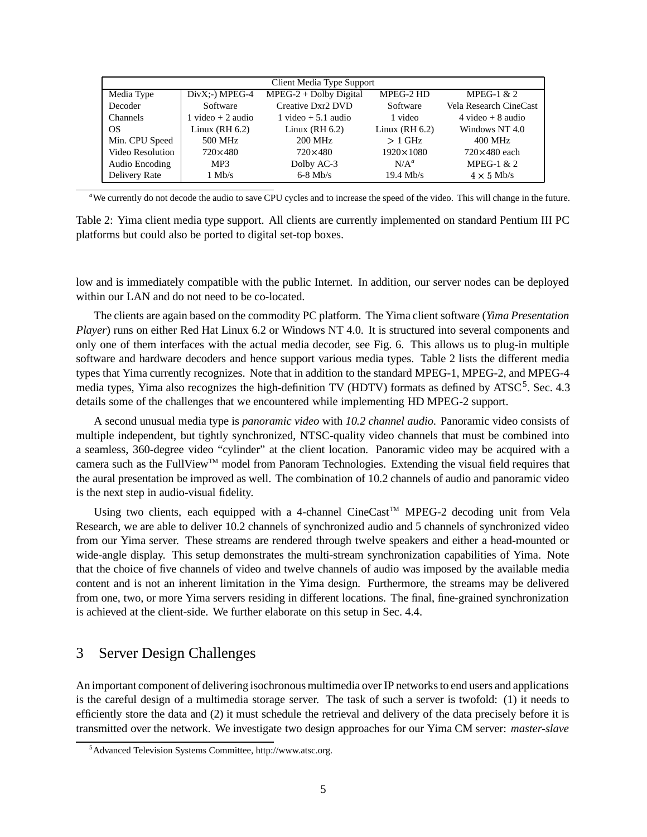| Client Media Type Support |                      |                          |                    |                        |  |
|---------------------------|----------------------|--------------------------|--------------------|------------------------|--|
| Media Type                | $DivX:-)$ MPEG-4     | $MPEG-2 + Dolby Digital$ | MPEG-2 HD          | MPEG-1 $& 2$           |  |
| Decoder                   | Software             | Creative Dxr2 DVD        | Software           | Vela Research CineCast |  |
| <b>Channels</b>           | $1$ video $+2$ audio | $1$ video $+5.1$ audio   | 1 video            | $4$ video + 8 audio    |  |
| OS                        | Linux (RH $6.2$ )    | Linux $(RH 6.2)$         | Linux $(RH 6.2)$   | Windows NT 4.0         |  |
| Min. CPU Speed            | 500 MHz              | 200 MHz                  | $>1$ GHz           | 400 MHz                |  |
| Video Resolution          | $720\times480$       | $720\times480$           | $1920 \times 1080$ | $720\times480$ each    |  |
| Audio Encoding            | MP3                  | Dolby AC-3               | $N/A^a$            | MPEG-1 $& 2$           |  |
| Delivery Rate             | $1 \text{ Mb/s}$     | $6-8$ Mb/s               | $19.4$ Mb/s        | $4 \times 5$ Mb/s      |  |

*<sup>a</sup>*We currently do not decode the audio to save CPU cycles and to increase the speed of the video. This will change in the future.

Table 2: Yima client media type support. All clients are currently implemented on standard Pentium III PC platforms but could also be ported to digital set-top boxes.

low and is immediately compatible with the public Internet. In addition, our server nodes can be deployed within our LAN and do not need to be co-located.

The clients are again based on the commodity PC platform. The Yima client software (*Yima Presentation Player*) runs on either Red Hat Linux 6.2 or Windows NT 4.0. It is structured into several components and only one of them interfaces with the actual media decoder, see Fig. 6. This allows us to plug-in multiple software and hardware decoders and hence support various media types. Table 2 lists the different media types that Yima currently recognizes. Note that in addition to the standard MPEG-1, MPEG-2, and MPEG-4 media types, Yima also recognizes the high-definition TV (HDTV) formats as defined by ATSC<sup>5</sup>. Sec. 4.3 details some of the challenges that we encountered while implementing HD MPEG-2 support.

A second unusual media type is *panoramic video* with *10.2 channel audio*. Panoramic video consists of multiple independent, but tightly synchronized, NTSC-quality video channels that must be combined into a seamless, 360-degree video "cylinder" at the client location. Panoramic video may be acquired with a camera such as the FullView<sup>™</sup> model from Panoram Technologies. Extending the visual field requires that the aural presentation be improved as well. The combination of 10.2 channels of audio and panoramic video is the next step in audio-visual fidelity.

Using two clients, each equipped with a 4-channel CineCast<sup>™</sup> MPEG-2 decoding unit from Vela Research, we are able to deliver 10.2 channels of synchronized audio and 5 channels of synchronized video from our Yima server. These streams are rendered through twelve speakers and either a head-mounted or wide-angle display. This setup demonstrates the multi-stream synchronization capabilities of Yima. Note that the choice of five channels of video and twelve channels of audio was imposed by the available media content and is not an inherent limitation in the Yima design. Furthermore, the streams may be delivered from one, two, or more Yima servers residing in different locations. The final, fine-grained synchronization is achieved at the client-side. We further elaborate on this setup in Sec. 4.4.

# 3 Server Design Challenges

An important component of delivering isochronous multimedia over IP networks to end users and applications is the careful design of a multimedia storage server. The task of such a server is twofold: (1) it needs to efficiently store the data and (2) it must schedule the retrieval and delivery of the data precisely before it is transmitted over the network. We investigate two design approaches for our Yima CM server: *master-slave*

<sup>5</sup>Advanced Television Systems Committee, http://www.atsc.org.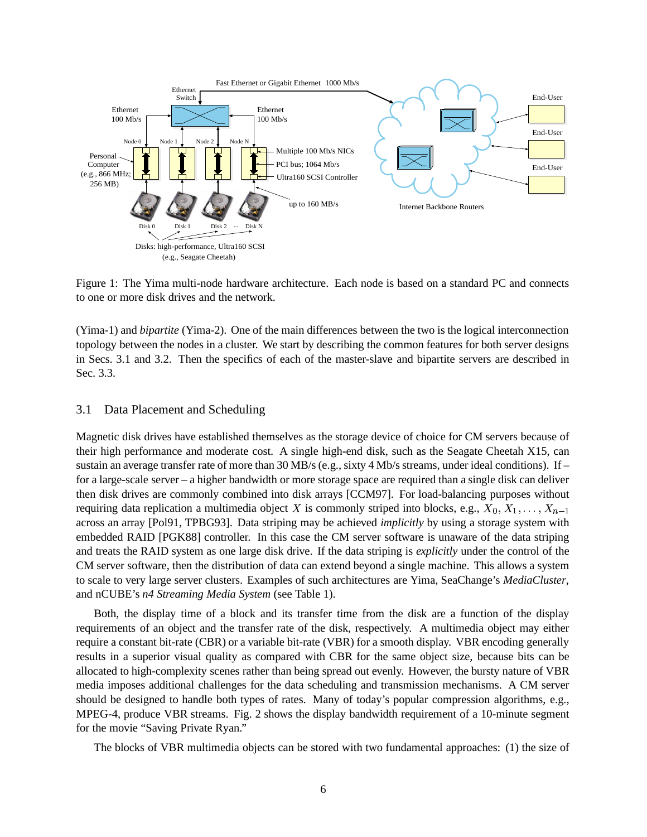

Figure 1: The Yima multi-node hardware architecture. Each node is based on a standard PC and connects to one or more disk drives and the network.

(Yima-1) and *bipartite* (Yima-2). One of the main differences between the two is the logical interconnection topology between the nodes in a cluster. We start by describing the common features for both server designs in Secs. 3.1 and 3.2. Then the specifics of each of the master-slave and bipartite servers are described in Sec. 3.3.

#### 3.1 Data Placement and Scheduling

Magnetic disk drives have established themselves as the storage device of choice for CM servers because of their high performance and moderate cost. A single high-end disk, such as the Seagate Cheetah X15, can sustain an average transfer rate of more than 30 MB/s (e.g., sixty 4 Mb/s streams, under ideal conditions). If – for a large-scale server – a higher bandwidth or more storage space are required than a single disk can deliver then disk drives are commonly combined into disk arrays [CCM97]. For load-balancing purposes without requiring data replication a multimedia object X is commonly striped into blocks, e.g.,  $X_0, X_1, \ldots, X_{n-1}$ across an array [Pol91, TPBG93]. Data striping may be achieved *implicitly* by using a storage system with embedded RAID [PGK88] controller. In this case the CM server software is unaware of the data striping and treats the RAID system as one large disk drive. If the data striping is *explicitly* under the control of the CM server software, then the distribution of data can extend beyond a single machine. This allows a system to scale to very large server clusters. Examples of such architectures are Yima, SeaChange's *MediaCluster*, and nCUBE's *n4 Streaming Media System* (see Table 1).

Both, the display time of a block and its transfer time from the disk are a function of the display requirements of an object and the transfer rate of the disk, respectively. A multimedia object may either require a constant bit-rate (CBR) or a variable bit-rate (VBR) for a smooth display. VBR encoding generally results in a superior visual quality as compared with CBR for the same object size, because bits can be allocated to high-complexity scenes rather than being spread out evenly. However, the bursty nature of VBR media imposes additional challenges for the data scheduling and transmission mechanisms. A CM server should be designed to handle both types of rates. Many of today's popular compression algorithms, e.g., MPEG-4, produce VBR streams. Fig. 2 shows the display bandwidth requirement of a 10-minute segment for the movie "Saving Private Ryan."

The blocks of VBR multimedia objects can be stored with two fundamental approaches: (1) the size of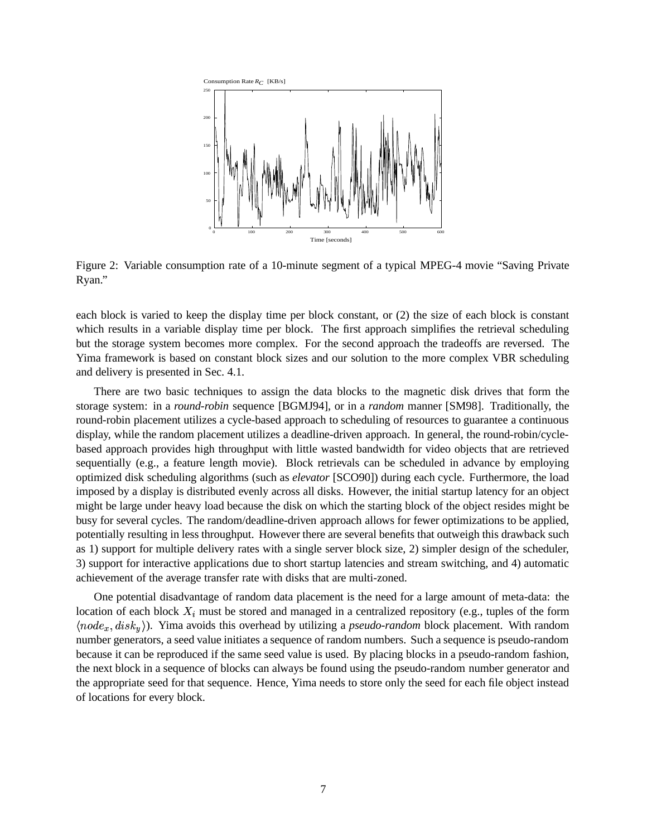

Figure 2: Variable consumption rate of a 10-minute segment of a typical MPEG-4 movie "Saving Private Ryan."

each block is varied to keep the display time per block constant, or (2) the size of each block is constant which results in a variable display time per block. The first approach simplifies the retrieval scheduling but the storage system becomes more complex. For the second approach the tradeoffs are reversed. The Yima framework is based on constant block sizes and our solution to the more complex VBR scheduling and delivery is presented in Sec. 4.1.

There are two basic techniques to assign the data blocks to the magnetic disk drives that form the storage system: in a *round-robin* sequence [BGMJ94], or in a *random* manner [SM98]. Traditionally, the round-robin placement utilizes a cycle-based approach to scheduling of resources to guarantee a continuous display, while the random placement utilizes a deadline-driven approach. In general, the round-robin/cyclebased approach provides high throughput with little wasted bandwidth for video objects that are retrieved sequentially (e.g., a feature length movie). Block retrievals can be scheduled in advance by employing optimized disk scheduling algorithms (such as *elevator* [SCO90]) during each cycle. Furthermore, the load imposed by a display is distributed evenly across all disks. However, the initial startup latency for an object might be large under heavy load because the disk on which the starting block of the object resides might be busy for several cycles. The random/deadline-driven approach allows for fewer optimizations to be applied, potentially resulting in less throughput. However there are several benefits that outweigh this drawback such as 1) support for multiple delivery rates with a single server block size, 2) simpler design of the scheduler, 3) support for interactive applications due to short startup latencies and stream switching, and 4) automatic achievement of the average transfer rate with disks that are multi-zoned.

One potential disadvantage of random data placement is the need for a large amount of meta-data: the location of each block  $X_i$  must be stored and managed in a centralized repository (e.g., tuples of the form  $\langle node_x, disk_y \rangle$ ). Yima avoids this overhead by utilizing a *pseudo-random* block placement. With random number generators, a seed value initiates a sequence of random numbers. Such a sequence is pseudo-random because it can be reproduced if the same seed value is used. By placing blocks in a pseudo-random fashion, the next block in a sequence of blocks can always be found using the pseudo-random number generator and the appropriate seed for that sequence. Hence, Yima needs to store only the seed for each file object instead of locations for every block.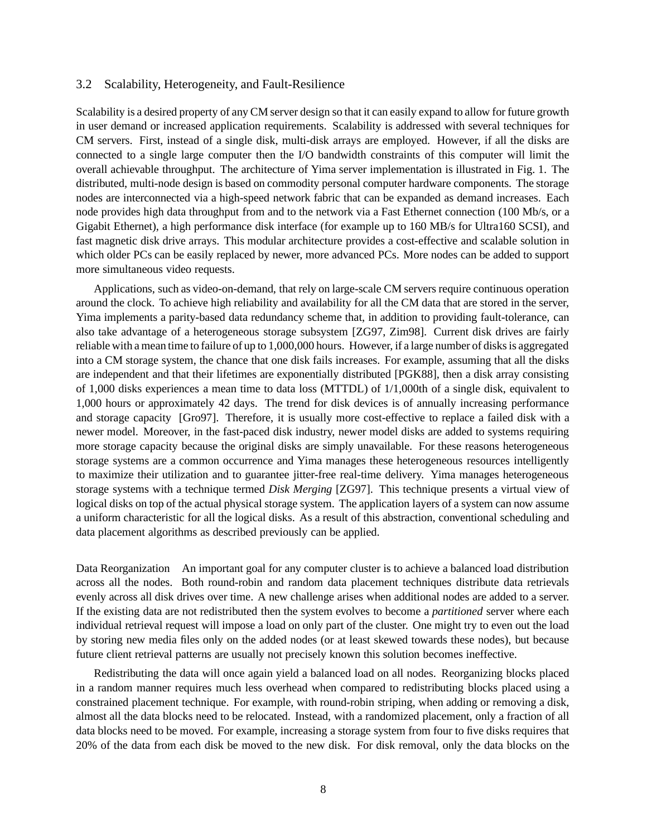#### 3.2 Scalability, Heterogeneity, and Fault-Resilience

Scalability is a desired property of any CM server design so that it can easily expand to allow for future growth in user demand or increased application requirements. Scalability is addressed with several techniques for CM servers. First, instead of a single disk, multi-disk arrays are employed. However, if all the disks are connected to a single large computer then the I/O bandwidth constraints of this computer will limit the overall achievable throughput. The architecture of Yima server implementation is illustrated in Fig. 1. The distributed, multi-node design is based on commodity personal computer hardware components. The storage nodes are interconnected via a high-speed network fabric that can be expanded as demand increases. Each node provides high data throughput from and to the network via a Fast Ethernet connection (100 Mb/s, or a Gigabit Ethernet), a high performance disk interface (for example up to 160 MB/s for Ultra160 SCSI), and fast magnetic disk drive arrays. This modular architecture provides a cost-effective and scalable solution in which older PCs can be easily replaced by newer, more advanced PCs. More nodes can be added to support more simultaneous video requests.

Applications, such as video-on-demand, that rely on large-scale CM servers require continuous operation around the clock. To achieve high reliability and availability for all the CM data that are stored in the server, Yima implements a parity-based data redundancy scheme that, in addition to providing fault-tolerance, can also take advantage of a heterogeneous storage subsystem [ZG97, Zim98]. Current disk drives are fairly reliable with a mean time to failure of up to 1,000,000 hours. However, if a large number of disks is aggregated into a CM storage system, the chance that one disk fails increases. For example, assuming that all the disks are independent and that their lifetimes are exponentially distributed [PGK88], then a disk array consisting of 1,000 disks experiences a mean time to data loss (MTTDL) of 1/1,000th of a single disk, equivalent to 1,000 hours or approximately 42 days. The trend for disk devices is of annually increasing performance and storage capacity [Gro97]. Therefore, it is usually more cost-effective to replace a failed disk with a newer model. Moreover, in the fast-paced disk industry, newer model disks are added to systems requiring more storage capacity because the original disks are simply unavailable. For these reasons heterogeneous storage systems are a common occurrence and Yima manages these heterogeneous resources intelligently to maximize their utilization and to guarantee jitter-free real-time delivery. Yima manages heterogeneous storage systems with a technique termed *Disk Merging* [ZG97]. This technique presents a virtual view of logical disks on top of the actual physical storage system. The application layers of a system can now assume a uniform characteristic for all the logical disks. As a result of this abstraction, conventional scheduling and data placement algorithms as described previously can be applied.

Data Reorganization An important goal for any computer cluster is to achieve a balanced load distribution across all the nodes. Both round-robin and random data placement techniques distribute data retrievals evenly across all disk drives over time. A new challenge arises when additional nodes are added to a server. If the existing data are not redistributed then the system evolves to become a *partitioned* server where each individual retrieval request will impose a load on only part of the cluster. One might try to even out the load by storing new media files only on the added nodes (or at least skewed towards these nodes), but because future client retrieval patterns are usually not precisely known this solution becomes ineffective.

Redistributing the data will once again yield a balanced load on all nodes. Reorganizing blocks placed in a random manner requires much less overhead when compared to redistributing blocks placed using a constrained placement technique. For example, with round-robin striping, when adding or removing a disk, almost all the data blocks need to be relocated. Instead, with a randomized placement, only a fraction of all data blocks need to be moved. For example, increasing a storage system from four to five disks requires that 20% of the data from each disk be moved to the new disk. For disk removal, only the data blocks on the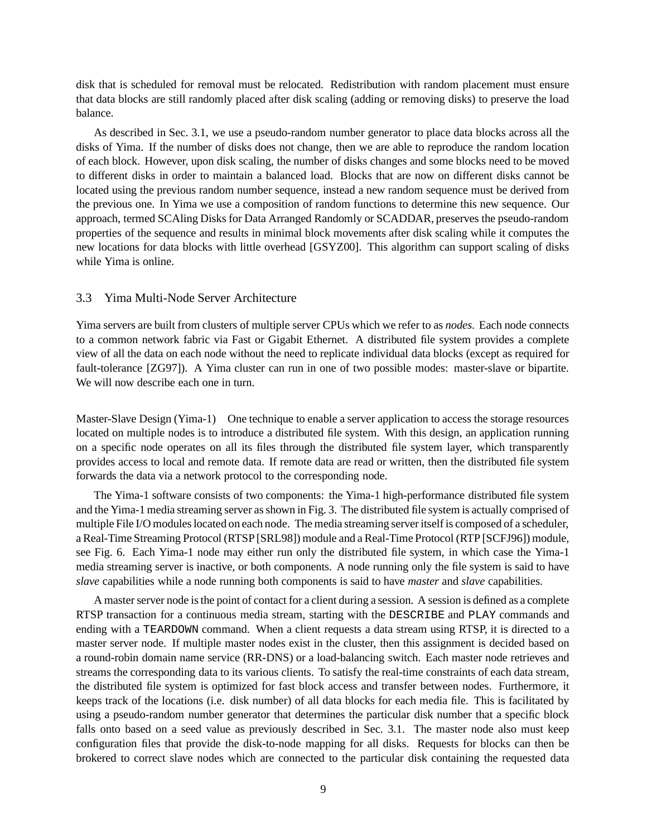disk that is scheduled for removal must be relocated. Redistribution with random placement must ensure that data blocks are still randomly placed after disk scaling (adding or removing disks) to preserve the load balance.

As described in Sec. 3.1, we use a pseudo-random number generator to place data blocks across all the disks of Yima. If the number of disks does not change, then we are able to reproduce the random location of each block. However, upon disk scaling, the number of disks changes and some blocks need to be moved to different disks in order to maintain a balanced load. Blocks that are now on different disks cannot be located using the previous random number sequence, instead a new random sequence must be derived from the previous one. In Yima we use a composition of random functions to determine this new sequence. Our approach, termed SCAling Disks for Data Arranged Randomly or SCADDAR, preserves the pseudo-random properties of the sequence and results in minimal block movements after disk scaling while it computes the new locations for data blocks with little overhead [GSYZ00]. This algorithm can support scaling of disks while Yima is online.

#### 3.3 Yima Multi-Node Server Architecture

Yima servers are built from clusters of multiple server CPUs which we refer to as *nodes*. Each node connects to a common network fabric via Fast or Gigabit Ethernet. A distributed file system provides a complete view of all the data on each node without the need to replicate individual data blocks (except as required for fault-tolerance [ZG97]). A Yima cluster can run in one of two possible modes: master-slave or bipartite. We will now describe each one in turn.

Master-Slave Design (Yima-1) One technique to enable a server application to access the storage resources located on multiple nodes is to introduce a distributed file system. With this design, an application running on a specific node operates on all its files through the distributed file system layer, which transparently provides access to local and remote data. If remote data are read or written, then the distributed file system forwards the data via a network protocol to the corresponding node.

The Yima-1 software consists of two components: the Yima-1 high-performance distributed file system and the Yima-1 media streaming server asshown in Fig. 3. The distributed file system is actually comprised of multiple File I/O modules located on each node. The media streaming server itself is composed of a scheduler, a Real-Time Streaming Protocol (RTSP [SRL98]) module and a Real-Time Protocol (RTP [SCFJ96]) module, see Fig. 6. Each Yima-1 node may either run only the distributed file system, in which case the Yima-1 media streaming server is inactive, or both components. A node running only the file system is said to have *slave* capabilities while a node running both components is said to have *master* and *slave* capabilities.

A master server node is the point of contact for a client during a session. A session is defined as a complete RTSP transaction for a continuous media stream, starting with the DESCRIBE and PLAY commands and ending with a TEARDOWN command. When a client requests a data stream using RTSP, it is directed to a master server node. If multiple master nodes exist in the cluster, then this assignment is decided based on a round-robin domain name service (RR-DNS) or a load-balancing switch. Each master node retrieves and streams the corresponding data to its various clients. To satisfy the real-time constraints of each data stream, the distributed file system is optimized for fast block access and transfer between nodes. Furthermore, it keeps track of the locations (i.e. disk number) of all data blocks for each media file. This is facilitated by using a pseudo-random number generator that determines the particular disk number that a specific block falls onto based on a seed value as previously described in Sec. 3.1. The master node also must keep configuration files that provide the disk-to-node mapping for all disks. Requests for blocks can then be brokered to correct slave nodes which are connected to the particular disk containing the requested data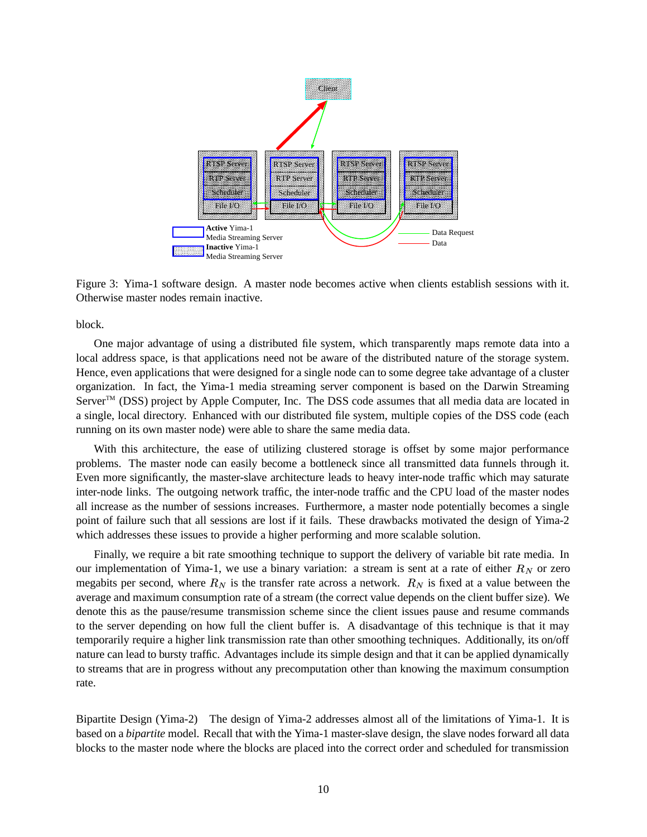

Figure 3: Yima-1 software design. A master node becomes active when clients establish sessions with it. Otherwise master nodes remain inactive.

block.

One major advantage of using a distributed file system, which transparently maps remote data into a local address space, is that applications need not be aware of the distributed nature of the storage system. Hence, even applications that were designed for a single node can to some degree take advantage of a cluster organization. In fact, the Yima-1 media streaming server component is based on the Darwin Streaming Server<sup>™</sup> (DSS) project by Apple Computer, Inc. The DSS code assumes that all media data are located in a single, local directory. Enhanced with our distributed file system, multiple copies of the DSS code (each running on its own master node) were able to share the same media data.

With this architecture, the ease of utilizing clustered storage is offset by some major performance problems. The master node can easily become a bottleneck since all transmitted data funnels through it. Even more significantly, the master-slave architecture leads to heavy inter-node traffic which may saturate inter-node links. The outgoing network traffic, the inter-node traffic and the CPU load of the master nodes all increase as the number of sessions increases. Furthermore, a master node potentially becomes a single point of failure such that all sessions are lost if it fails. These drawbacks motivated the design of Yima-2 which addresses these issues to provide a higher performing and more scalable solution.

Finally, we require a bit rate smoothing technique to support the delivery of variable bit rate media. In our implementation of Yima-1, we use a binary variation: a stream is sent at a rate of either  $R_N$  or zero megabits per second, where  $R_N$  is the transfer rate across a network.  $R_N$  is fixed at a value between the average and maximum consumption rate of a stream (the correct value depends on the client buffer size). We denote this as the pause/resume transmission scheme since the client issues pause and resume commands to the server depending on how full the client buffer is. A disadvantage of this technique is that it may temporarily require a higher link transmission rate than other smoothing techniques. Additionally, its on/off nature can lead to bursty traffic. Advantages include its simple design and that it can be applied dynamically to streams that are in progress without any precomputation other than knowing the maximum consumption rate.

Bipartite Design (Yima-2) The design of Yima-2 addresses almost all of the limitations of Yima-1. It is based on a *bipartite* model. Recall that with the Yima-1 master-slave design, the slave nodes forward all data blocks to the master node where the blocks are placed into the correct order and scheduled for transmission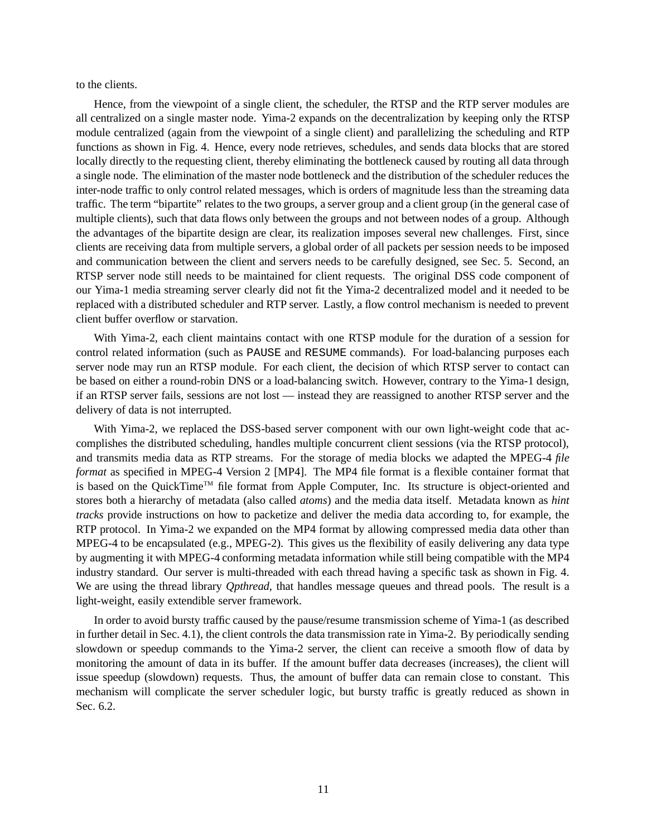to the clients.

Hence, from the viewpoint of a single client, the scheduler, the RTSP and the RTP server modules are all centralized on a single master node. Yima-2 expands on the decentralization by keeping only the RTSP module centralized (again from the viewpoint of a single client) and parallelizing the scheduling and RTP functions as shown in Fig. 4. Hence, every node retrieves, schedules, and sends data blocks that are stored locally directly to the requesting client, thereby eliminating the bottleneck caused by routing all data through a single node. The elimination of the master node bottleneck and the distribution of the scheduler reduces the inter-node traffic to only control related messages, which is orders of magnitude less than the streaming data traffic. The term "bipartite" relates to the two groups, a server group and a client group (in the general case of multiple clients), such that data flows only between the groups and not between nodes of a group. Although the advantages of the bipartite design are clear, its realization imposes several new challenges. First, since clients are receiving data from multiple servers, a global order of all packets per session needs to be imposed and communication between the client and servers needs to be carefully designed, see Sec. 5. Second, an RTSP server node still needs to be maintained for client requests. The original DSS code component of our Yima-1 media streaming server clearly did not fit the Yima-2 decentralized model and it needed to be replaced with a distributed scheduler and RTP server. Lastly, a flow control mechanism is needed to prevent client buffer overflow or starvation.

With Yima-2, each client maintains contact with one RTSP module for the duration of a session for control related information (such as PAUSE and RESUME commands). For load-balancing purposes each server node may run an RTSP module. For each client, the decision of which RTSP server to contact can be based on either a round-robin DNS or a load-balancing switch. However, contrary to the Yima-1 design, if an RTSP server fails, sessions are not lost — instead they are reassigned to another RTSP server and the delivery of data is not interrupted.

With Yima-2, we replaced the DSS-based server component with our own light-weight code that accomplishes the distributed scheduling, handles multiple concurrent client sessions (via the RTSP protocol), and transmits media data as RTP streams. For the storage of media blocks we adapted the MPEG-4 *file format* as specified in MPEG-4 Version 2 [MP4]. The MP4 file format is a flexible container format that is based on the QuickTime™ file format from Apple Computer, Inc. Its structure is object-oriented and stores both a hierarchy of metadata (also called *atoms*) and the media data itself. Metadata known as *hint tracks* provide instructions on how to packetize and deliver the media data according to, for example, the RTP protocol. In Yima-2 we expanded on the MP4 format by allowing compressed media data other than MPEG-4 to be encapsulated (e.g., MPEG-2). This gives us the flexibility of easily delivering any data type by augmenting it with MPEG-4 conforming metadata information while still being compatible with the MP4 industry standard. Our server is multi-threaded with each thread having a specific task as shown in Fig. 4. We are using the thread library *Qpthread*, that handles message queues and thread pools. The result is a light-weight, easily extendible server framework.

In order to avoid bursty traffic caused by the pause/resume transmission scheme of Yima-1 (as described in further detail in Sec. 4.1), the client controls the data transmission rate in Yima-2. By periodically sending slowdown or speedup commands to the Yima-2 server, the client can receive a smooth flow of data by monitoring the amount of data in its buffer. If the amount buffer data decreases (increases), the client will issue speedup (slowdown) requests. Thus, the amount of buffer data can remain close to constant. This mechanism will complicate the server scheduler logic, but bursty traffic is greatly reduced as shown in Sec. 6.2.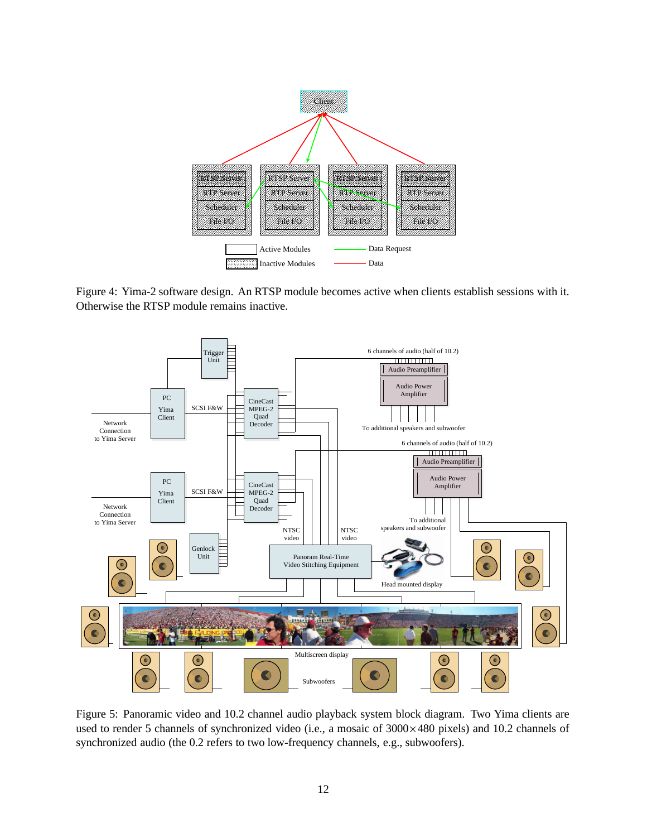

Figure 4: Yima-2 software design. An RTSP module becomes active when clients establish sessions with it. Otherwise the RTSP module remains inactive.



Figure 5: Panoramic video and 10.2 channel audio playback system block diagram. Two Yima clients are used to render 5 channels of synchronized video (i.e., a mosaic of  $3000 \times 480$  pixels) and 10.2 channels of synchronized audio (the 0.2 refers to two low-frequency channels, e.g., subwoofers).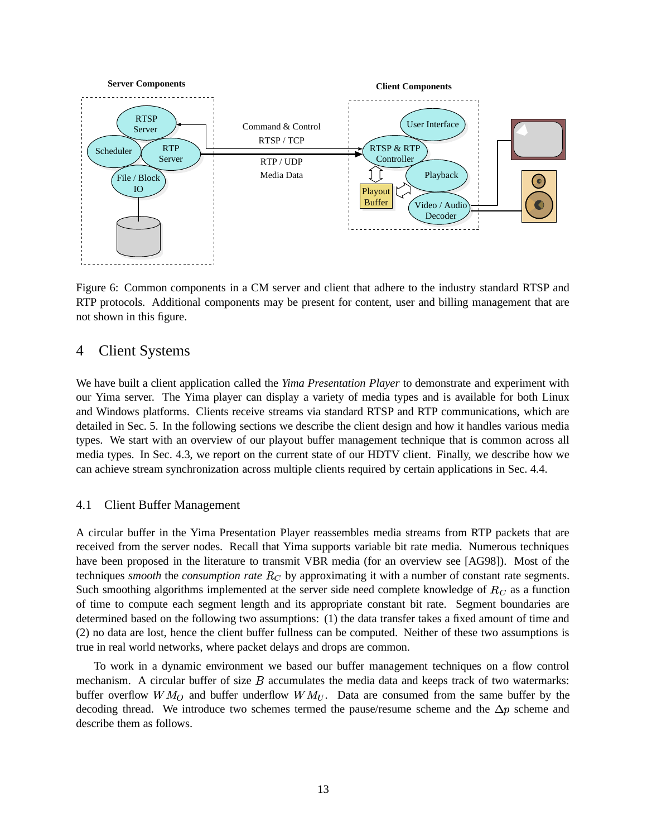

Figure 6: Common components in a CM server and client that adhere to the industry standard RTSP and RTP protocols. Additional components may be present for content, user and billing management that are not shown in this figure.

# 4 Client Systems

We have built a client application called the *Yima Presentation Player* to demonstrate and experiment with our Yima server. The Yima player can display a variety of media types and is available for both Linux and Windows platforms. Clients receive streams via standard RTSP and RTP communications, which are detailed in Sec. 5. In the following sections we describe the client design and how it handles various media types. We start with an overview of our playout buffer management technique that is common across all media types. In Sec. 4.3, we report on the current state of our HDTV client. Finally, we describe how we can achieve stream synchronization across multiple clients required by certain applications in Sec. 4.4.

### 4.1 Client Buffer Management

A circular buffer in the Yima Presentation Player reassembles media streams from RTP packets that are received from the server nodes. Recall that Yima supports variable bit rate media. Numerous techniques have been proposed in the literature to transmit VBR media (for an overview see [AG98]). Most of the techniques *smooth* the *consumption* rate  $R_C$  by approximating it with a number of constant rate segments. Such smoothing algorithms implemented at the server side need complete knowledge of  $R_C$  as a function of time to compute each segment length and its appropriate constant bit rate. Segment boundaries are determined based on the following two assumptions: (1) the data transfer takes a fixed amount of time and (2) no data are lost, hence the client buffer fullness can be computed. Neither of these two assumptions is true in real world networks, where packet delays and drops are common.

To work in a dynamic environment we based our buffer management techniques on a flow control mechanism. A circular buffer of size  $B$  accumulates the media data and keeps track of two watermarks: buffer overflow  $WM_O$  and buffer underflow  $WM_U$ . Data are consumed from the same buffer by the decoding thread. We introduce two schemes termed the pause/resume scheme and the  $\Delta p$  scheme and describe them as follows.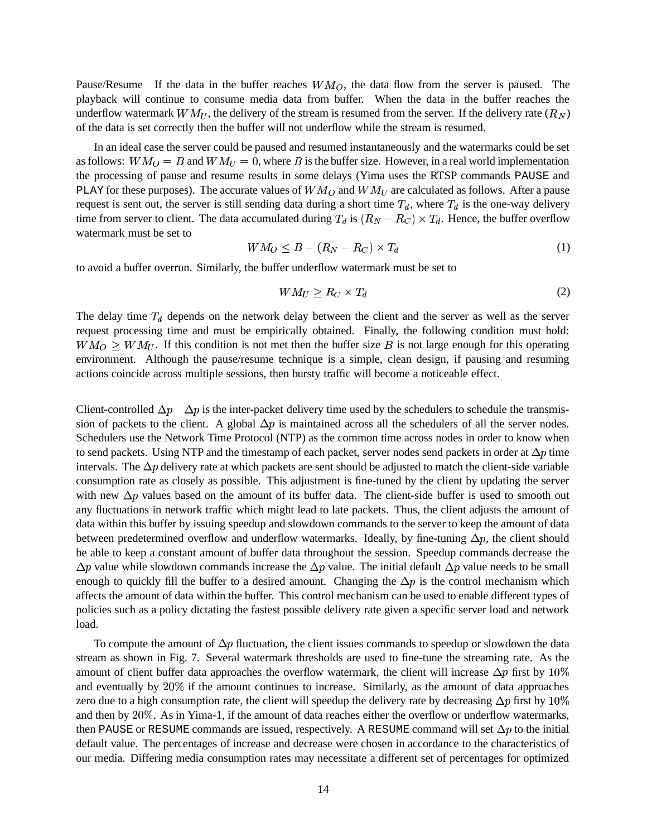Pause/Resume If the data in the buffer reaches  $WM_O$ , the data flow from the server is paused. The playback will continue to consume media data from buffer. When the data in the buffer reaches the underflow watermark  $WM_U$ , the delivery of the stream is resumed from the server. If the delivery rate  $(R_N)$ of the data is set correctly then the buffer will not underflow while the stream is resumed.

In an ideal case the server could be paused and resumed instantaneously and the watermarks could be set as follows:  $WM_O = B$  and  $WM_U = 0$ , where B is the buffer size. However, in a real world implementation the processing of pause and resume results in some delays (Yima uses the RTSP commands PAUSE and PLAY for these purposes). The accurate values of  $WM_O$  and  $WM_U$  are calculated as follows. After a pause request is sent out, the server is still sending data during a short time  $T_d$ , where  $T_d$  is the one-way delivery time from server to client. The data accumulated during  $T_d$  is  $(R_N - R_C) \times T_d$ . Hence, the buffer overflow watermark must be set to

$$
WM_O \leq B - (R_N - R_C) \times T_d \tag{1}
$$

to avoid a buffer overrun. Similarly, the buffer underflow watermark must be set to

$$
WM_U \ge R_C \times T_d \tag{2}
$$

The delay time  $T_d$  depends on the network delay between the client and the server as well as the server request processing time and must be empirically obtained. Finally, the following condition must hold:  $WM_O \geq WM_U$ . If this condition is not met then the buffer size B is not large enough for this operating environment. Although the pause/resume technique is a simple, clean design, if pausing and resuming actions coincide across multiple sessions, then bursty traffic will become a noticeable effect.

Client-controlled  $\Delta p$   $\Delta p$  is the inter-packet delivery time used by the schedulers to schedule the transmission of packets to the client. A global  $\Delta p$  is maintained across all the schedulers of all the server nodes. Schedulers use the Network Time Protocol (NTP) as the common time across nodes in order to know when to send packets. Using NTP and the timestamp of each packet, server nodes send packets in order at  $\Delta p$  time intervals. The  $\Delta p$  delivery rate at which packets are sent should be adjusted to match the client-side variable consumption rate as closely as possible. This adjustment is fine-tuned by the client by updating the server with new  $\Delta p$  values based on the amount of its buffer data. The client-side buffer is used to smooth out any fluctuations in network traffic which might lead to late packets. Thus, the client adjusts the amount of data within this buffer by issuing speedup and slowdown commands to the server to keep the amount of data between predetermined overflow and underflow watermarks. Ideally, by fine-tuning  $\Delta p$ , the client should be able to keep a constant amount of buffer data throughout the session. Speedup commands decrease the  $\Delta p$  value while slowdown commands increase the  $\Delta p$  value. The initial default  $\Delta p$  value needs to be small enough to quickly fill the buffer to a desired amount. Changing the  $\Delta p$  is the control mechanism which affects the amount of data within the buffer. This control mechanism can be used to enable different types of policies such as a policy dictating the fastest possible delivery rate given a specific server load and network load.

To compute the amount of  $\Delta p$  fluctuation, the client issues commands to speedup or slowdown the data stream as shown in Fig. 7. Several watermark thresholds are used to fine-tune the streaming rate. As the amount of client buffer data approaches the overflow watermark, the client will increase  $\Delta p$  first by 10% and eventually by 20% if the amount continues to increase. Similarly, as the amount of data approaches zero due to a high consumption rate, the client will speedup the delivery rate by decreasing  $\Delta p$  first by 10% and then by 20%. As in Yima-1, if the amount of data reaches either the overflow or underflow watermarks, then PAUSE or RESUME commands are issued, respectively. A RESUME command will set  $\Delta p$  to the initial default value. The percentages of increase and decrease were chosen in accordance to the characteristics of our media. Differing media consumption rates may necessitate a different set of percentages for optimized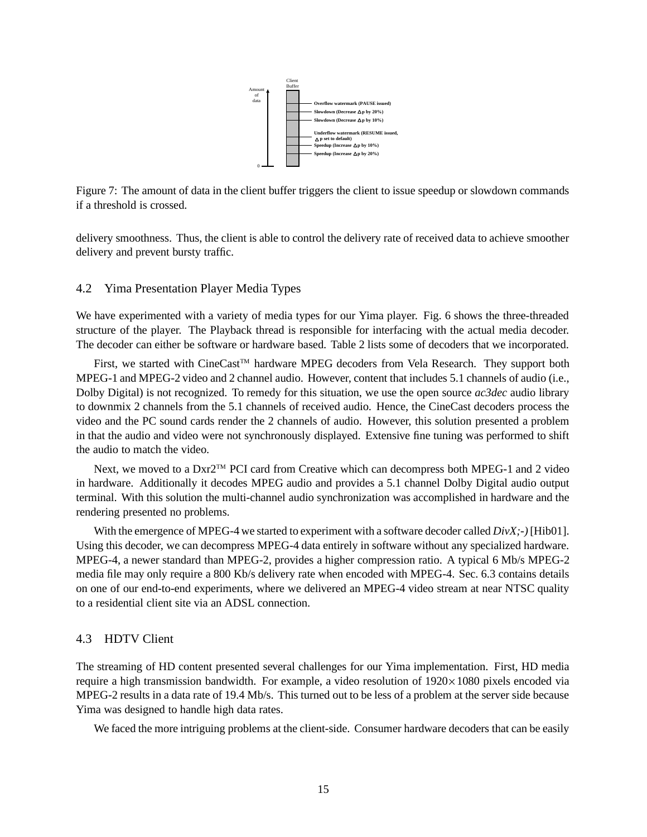

Figure 7: The amount of data in the client buffer triggers the client to issue speedup or slowdown commands if a threshold is crossed.

delivery smoothness. Thus, the client is able to control the delivery rate of received data to achieve smoother delivery and prevent bursty traffic.

#### 4.2 Yima Presentation Player Media Types

We have experimented with a variety of media types for our Yima player. Fig. 6 shows the three-threaded structure of the player. The Playback thread is responsible for interfacing with the actual media decoder. The decoder can either be software or hardware based. Table 2 lists some of decoders that we incorporated.

First, we started with CineCast™ hardware MPEG decoders from Vela Research. They support both MPEG-1 and MPEG-2 video and 2 channel audio. However, content that includes 5.1 channels of audio (i.e., Dolby Digital) is not recognized. To remedy for this situation, we use the open source *ac3dec* audio library to downmix 2 channels from the 5.1 channels of received audio. Hence, the CineCast decoders process the video and the PC sound cards render the 2 channels of audio. However, this solution presented a problem in that the audio and video were not synchronously displayed. Extensive fine tuning was performed to shift the audio to match the video.

Next, we moved to a Dxr2™ PCI card from Creative which can decompress both MPEG-1 and 2 video in hardware. Additionally it decodes MPEG audio and provides a 5.1 channel Dolby Digital audio output terminal. With this solution the multi-channel audio synchronization was accomplished in hardware and the rendering presented no problems.

With the emergence of MPEG-4 we started to experiment with a software decoder called *DivX;-)* [Hib01]. Using this decoder, we can decompress MPEG-4 data entirely in software without any specialized hardware. MPEG-4, a newer standard than MPEG-2, provides a higher compression ratio. A typical 6 Mb/s MPEG-2 media file may only require a 800 Kb/s delivery rate when encoded with MPEG-4. Sec. 6.3 contains details on one of our end-to-end experiments, where we delivered an MPEG-4 video stream at near NTSC quality to a residential client site via an ADSL connection.

### 4.3 HDTV Client

The streaming of HD content presented several challenges for our Yima implementation. First, HD media require a high transmission bandwidth. For example, a video resolution of  $1920 \times 1080$  pixels encoded via MPEG-2 results in a data rate of 19.4 Mb/s. This turned out to be less of a problem at the server side because Yima was designed to handle high data rates.

We faced the more intriguing problems at the client-side. Consumer hardware decoders that can be easily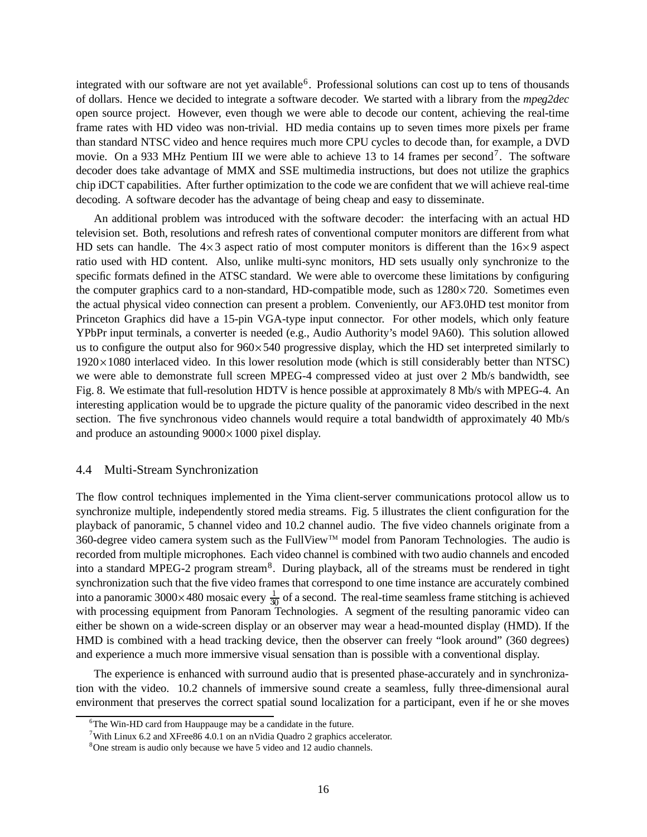integrated with our software are not yet available<sup>6</sup>. Professional solutions can cost up to tens of thousands of dollars. Hence we decided to integrate a software decoder. We started with a library from the *mpeg2dec* open source project. However, even though we were able to decode our content, achieving the real-time frame rates with HD video was non-trivial. HD media contains up to seven times more pixels per frame than standard NTSC video and hence requires much more CPU cycles to decode than, for example, a DVD movie. On a 933 MHz Pentium III we were able to achieve 13 to 14 frames per second<sup>7</sup>. The software decoder does take advantage of MMX and SSE multimedia instructions, but does not utilize the graphics chip iDCT capabilities. After further optimization to the code we are confident that we will achieve real-time decoding. A software decoder has the advantage of being cheap and easy to disseminate.

An additional problem was introduced with the software decoder: the interfacing with an actual HD television set. Both, resolutions and refresh rates of conventional computer monitors are different from what HD sets can handle. The  $4 \times 3$  aspect ratio of most computer monitors is different than the  $16 \times 9$  aspect ratio used with HD content. Also, unlike multi-sync monitors, HD sets usually only synchronize to the specific formats defined in the ATSC standard. We were able to overcome these limitations by configuring the computer graphics card to a non-standard, HD-compatible mode, such as  $1280 \times 720$ . Sometimes even the actual physical video connection can present a problem. Conveniently, our AF3.0HD test monitor from Princeton Graphics did have a 15-pin VGA-type input connector. For other models, which only feature YPbPr input terminals, a converter is needed (e.g., Audio Authority's model 9A60). This solution allowed us to configure the output also for  $960 \times 540$  progressive display, which the HD set interpreted similarly to  $1920 \times 1080$  interlaced video. In this lower resolution mode (which is still considerably better than NTSC) we were able to demonstrate full screen MPEG-4 compressed video at just over 2 Mb/s bandwidth, see Fig. 8. We estimate that full-resolution HDTV is hence possible at approximately 8 Mb/s with MPEG-4. An interesting application would be to upgrade the picture quality of the panoramic video described in the next section. The five synchronous video channels would require a total bandwidth of approximately 40 Mb/s and produce an astounding  $9000 \times 1000$  pixel display.

#### 4.4 Multi-Stream Synchronization

The flow control techniques implemented in the Yima client-server communications protocol allow us to synchronize multiple, independently stored media streams. Fig. 5 illustrates the client configuration for the playback of panoramic, 5 channel video and 10.2 channel audio. The five video channels originate from a 360-degree video camera system such as the FullView™ model from Panoram Technologies. The audio is recorded from multiple microphones. Each video channel is combined with two audio channels and encoded into a standard MPEG-2 program stream<sup>8</sup>. During playback, all of the streams must be rendered in tight synchronization such that the five video frames that correspond to one time instance are accurately combined into a panoramic 3000 $\times$ 480 mosaic every  $\frac{1}{30}$  of a second. The real-time seamless frame stitching is achieved with processing equipment from Panoram Technologies. A segment of the resulting panoramic video can either be shown on a wide-screen display or an observer may wear a head-mounted display (HMD). If the HMD is combined with a head tracking device, then the observer can freely "look around" (360 degrees) and experience a much more immersive visual sensation than is possible with a conventional display.

The experience is enhanced with surround audio that is presented phase-accurately and in synchronization with the video. 10.2 channels of immersive sound create a seamless, fully three-dimensional aural environment that preserves the correct spatial sound localization for a participant, even if he or she moves

 $6$ The Win-HD card from Hauppauge may be a candidate in the future.

<sup>&</sup>lt;sup>7</sup>With Linux 6.2 and XFree86 4.0.1 on an nVidia Quadro 2 graphics accelerator.

<sup>&</sup>lt;sup>8</sup>One stream is audio only because we have 5 video and 12 audio channels.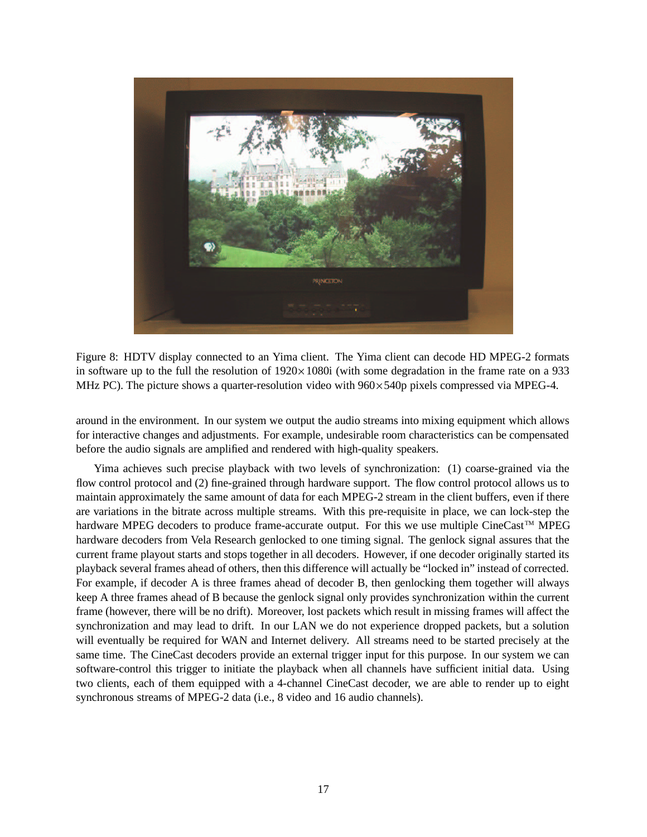

Figure 8: HDTV display connected to an Yima client. The Yima client can decode HD MPEG-2 formats in software up to the full the resolution of  $1920 \times 1080$  (with some degradation in the frame rate on a 933 MHz PC). The picture shows a quarter-resolution video with  $960 \times 540p$  pixels compressed via MPEG-4.

around in the environment. In our system we output the audio streams into mixing equipment which allows for interactive changes and adjustments. For example, undesirable room characteristics can be compensated before the audio signals are amplified and rendered with high-quality speakers.

Yima achieves such precise playback with two levels of synchronization: (1) coarse-grained via the flow control protocol and (2) fine-grained through hardware support. The flow control protocol allows us to maintain approximately the same amount of data for each MPEG-2 stream in the client buffers, even if there are variations in the bitrate across multiple streams. With this pre-requisite in place, we can lock-step the hardware MPEG decoders to produce frame-accurate output. For this we use multiple CineCast™ MPEG hardware decoders from Vela Research genlocked to one timing signal. The genlock signal assures that the current frame playout starts and stops together in all decoders. However, if one decoder originally started its playback several frames ahead of others, then this difference will actually be "locked in" instead of corrected. For example, if decoder A is three frames ahead of decoder B, then genlocking them together will always keep A three frames ahead of B because the genlock signal only provides synchronization within the current frame (however, there will be no drift). Moreover, lost packets which result in missing frames will affect the synchronization and may lead to drift. In our LAN we do not experience dropped packets, but a solution will eventually be required for WAN and Internet delivery. All streams need to be started precisely at the same time. The CineCast decoders provide an external trigger input for this purpose. In our system we can software-control this trigger to initiate the playback when all channels have sufficient initial data. Using two clients, each of them equipped with a 4-channel CineCast decoder, we are able to render up to eight synchronous streams of MPEG-2 data (i.e., 8 video and 16 audio channels).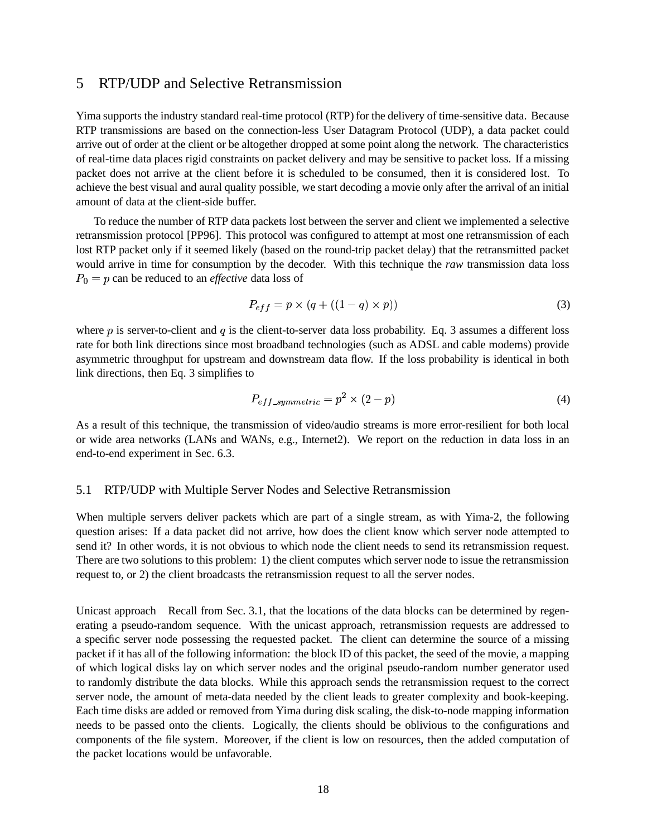# 5 RTP/UDP and Selective Retransmission

Yima supports the industry standard real-time protocol (RTP) for the delivery of time-sensitive data. Because RTP transmissions are based on the connection-less User Datagram Protocol (UDP), a data packet could arrive out of order at the client or be altogether dropped at some point along the network. The characteristics of real-time data places rigid constraints on packet delivery and may be sensitive to packet loss. If a missing packet does not arrive at the client before it is scheduled to be consumed, then it is considered lost. To achieve the best visual and aural quality possible, we start decoding a movie only after the arrival of an initial amount of data at the client-side buffer.

To reduce the number of RTP data packets lost between the server and client we implemented a selective retransmission protocol [PP96]. This protocol was configured to attempt at most one retransmission of each lost RTP packet only if it seemed likely (based on the round-trip packet delay) that the retransmitted packet would arrive in time for consumption by the decoder. With this technique the *raw* transmission data loss  $P_0 = p$  can be reduced to an *effective* data loss of

$$
P_{eff} = p \times (q + ((1 - q) \times p))
$$
\n(3)

where  $p$  is server-to-client and  $q$  is the client-to-server data loss probability. Eq. 3 assumes a different loss rate for both link directions since most broadband technologies (such as ADSL and cable modems) provide asymmetric throughput for upstream and downstream data flow. If the loss probability is identical in both link directions, then Eq. 3 simplifies to

$$
P_{eff\_symmetric} = p^2 \times (2 - p) \tag{4}
$$

As a result of this technique, the transmission of video/audio streams is more error-resilient for both local or wide area networks (LANs and WANs, e.g., Internet2). We report on the reduction in data loss in an end-to-end experiment in Sec. 6.3.

#### 5.1 RTP/UDP with Multiple Server Nodes and Selective Retransmission

When multiple servers deliver packets which are part of a single stream, as with Yima-2, the following question arises: If a data packet did not arrive, how does the client know which server node attempted to send it? In other words, it is not obvious to which node the client needs to send its retransmission request. There are two solutions to this problem: 1) the client computes which server node to issue the retransmission request to, or 2) the client broadcasts the retransmission request to all the server nodes.

Unicast approach Recall from Sec. 3.1, that the locations of the data blocks can be determined by regenerating a pseudo-random sequence. With the unicast approach, retransmission requests are addressed to a specific server node possessing the requested packet. The client can determine the source of a missing packet if it has all of the following information: the block ID of this packet, the seed of the movie, a mapping of which logical disks lay on which server nodes and the original pseudo-random number generator used to randomly distribute the data blocks. While this approach sends the retransmission request to the correct server node, the amount of meta-data needed by the client leads to greater complexity and book-keeping. Each time disks are added or removed from Yima during disk scaling, the disk-to-node mapping information needs to be passed onto the clients. Logically, the clients should be oblivious to the configurations and components of the file system. Moreover, if the client is low on resources, then the added computation of the packet locations would be unfavorable.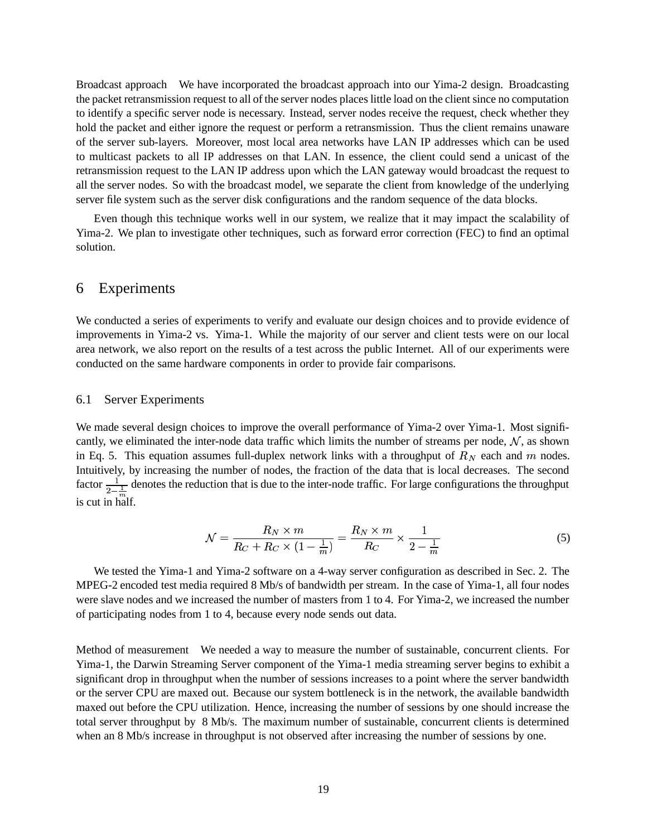Broadcast approach We have incorporated the broadcast approach into our Yima-2 design. Broadcasting the packet retransmission request to all of the server nodes places little load on the client since no computation to identify a specific server node is necessary. Instead, server nodes receive the request, check whether they hold the packet and either ignore the request or perform a retransmission. Thus the client remains unaware of the server sub-layers. Moreover, most local area networks have LAN IP addresses which can be used to multicast packets to all IP addresses on that LAN. In essence, the client could send a unicast of the retransmission request to the LAN IP address upon which the LAN gateway would broadcast the request to all the server nodes. So with the broadcast model, we separate the client from knowledge of the underlying server file system such as the server disk configurations and the random sequence of the data blocks.

Even though this technique works well in our system, we realize that it may impact the scalability of Yima-2. We plan to investigate other techniques, such as forward error correction (FEC) to find an optimal solution.

# 6 Experiments

We conducted a series of experiments to verify and evaluate our design choices and to provide evidence of improvements in Yima-2 vs. Yima-1. While the majority of our server and client tests were on our local area network, we also report on the results of a test across the public Internet. All of our experiments were conducted on the same hardware components in order to provide fair comparisons.

#### 6.1 Server Experiments

We made several design choices to improve the overall performance of Yima-2 over Yima-1. Most significantly, we eliminated the inter-node data traffic which limits the number of streams per node,  $\mathcal{N}$ , as shown in Eq. 5. This equation assumes full-duplex network links with a throughput of  $R_N$  each and  $m$  nodes. Intuitively, by increasing the number of nodes, the fraction of the data that is local decreases. The second factor  $\frac{1}{2-\frac{1}{m}}$  denotes the reduction that is due to the inter-node traffic. For large configurations the throughput is cut in half.

$$
\mathcal{N} = \frac{R_N \times m}{R_C + R_C \times (1 - \frac{1}{m})} = \frac{R_N \times m}{R_C} \times \frac{1}{2 - \frac{1}{m}}
$$
(5)

We tested the Yima-1 and Yima-2 software on a 4-way server configuration as described in Sec. 2. The MPEG-2 encoded test media required 8 Mb/s of bandwidth per stream. In the case of Yima-1, all four nodes were slave nodes and we increased the number of masters from 1 to 4. For Yima-2, we increased the number of participating nodes from 1 to 4, because every node sends out data.

Method of measurement We needed a way to measure the number of sustainable, concurrent clients. For Yima-1, the Darwin Streaming Server component of the Yima-1 media streaming server begins to exhibit a significant drop in throughput when the number of sessions increases to a point where the server bandwidth or the server CPU are maxed out. Because our system bottleneck is in the network, the available bandwidth maxed out before the CPU utilization. Hence, increasing the number of sessions by one should increase the total server throughput by 8 Mb/s. The maximum number of sustainable, concurrent clients is determined when an 8 Mb/s increase in throughput is not observed after increasing the number of sessions by one.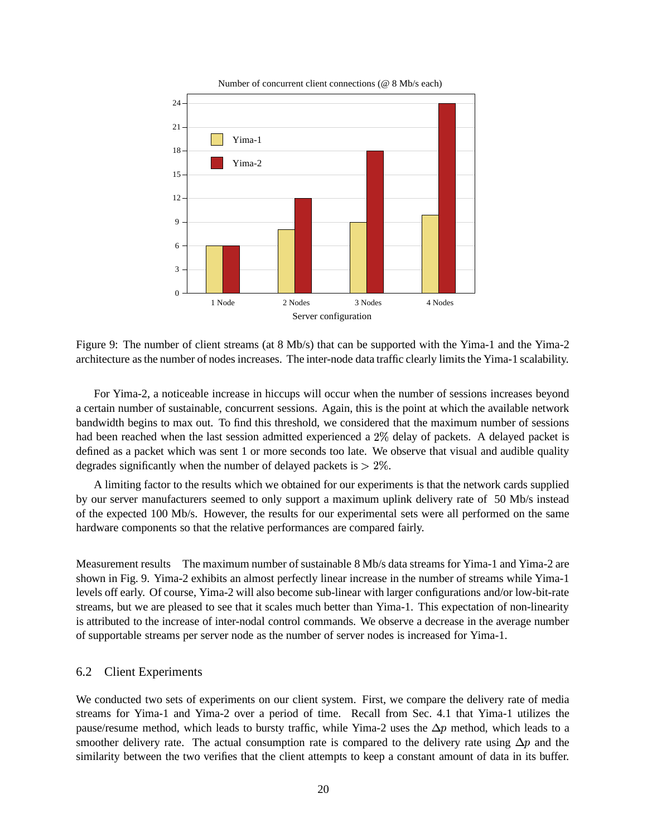

Number of concurrent client connections (@ 8 Mb/s each)

Figure 9: The number of client streams (at 8 Mb/s) that can be supported with the Yima-1 and the Yima-2 architecture asthe number of nodes increases. The inter-node data traffic clearly limitsthe Yima-1 scalability.

For Yima-2, a noticeable increase in hiccups will occur when the number of sessions increases beyond a certain number of sustainable, concurrent sessions. Again, this is the point at which the available network bandwidth begins to max out. To find this threshold, we considered that the maximum number of sessions had been reached when the last session admitted experienced a  $2\%$  delay of packets. A delayed packet is defined as a packet which was sent 1 or more seconds too late. We observe that visual and audible quality degrades significantly when the number of delayed packets is  $> 2\%$ .

A limiting factor to the results which we obtained for our experiments is that the network cards supplied by our server manufacturers seemed to only support a maximum uplink delivery rate of 50 Mb/s instead of the expected 100 Mb/s. However, the results for our experimental sets were all performed on the same hardware components so that the relative performances are compared fairly.

Measurement results The maximum number of sustainable 8 Mb/s data streams for Yima-1 and Yima-2 are shown in Fig. 9. Yima-2 exhibits an almost perfectly linear increase in the number of streams while Yima-1 levels off early. Of course, Yima-2 will also become sub-linear with larger configurations and/or low-bit-rate streams, but we are pleased to see that it scales much better than Yima-1. This expectation of non-linearity is attributed to the increase of inter-nodal control commands. We observe a decrease in the average number of supportable streams per server node as the number of server nodes is increased for Yima-1.

#### 6.2 Client Experiments

We conducted two sets of experiments on our client system. First, we compare the delivery rate of media streams for Yima-1 and Yima-2 over a period of time. Recall from Sec. 4.1 that Yima-1 utilizes the pause/resume method, which leads to bursty traffic, while Yima-2 uses the  $\Delta p$  method, which leads to a smoother delivery rate. The actual consumption rate is compared to the delivery rate using  $\Delta p$  and the similarity between the two verifies that the client attempts to keep a constant amount of data in its buffer.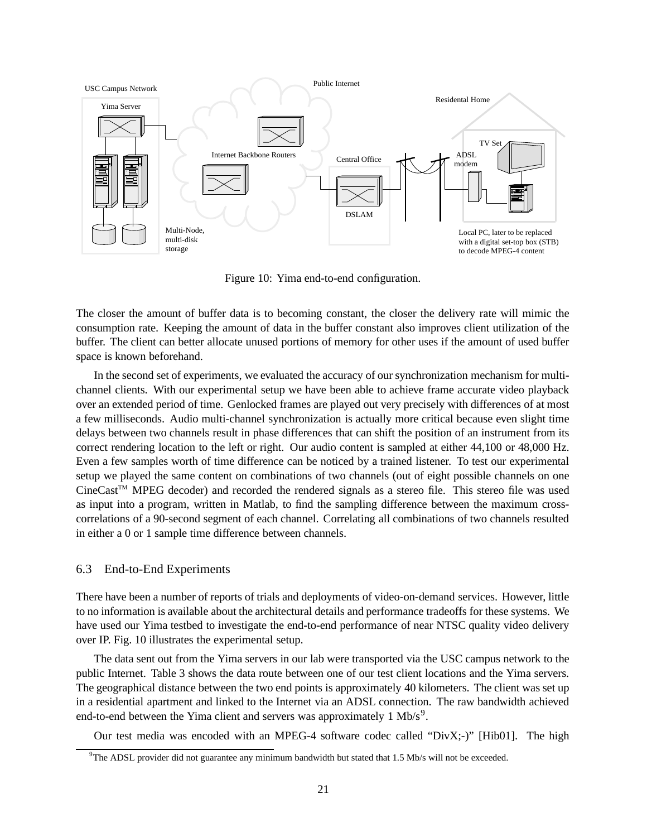

Figure 10: Yima end-to-end configuration.

The closer the amount of buffer data is to becoming constant, the closer the delivery rate will mimic the consumption rate. Keeping the amount of data in the buffer constant also improves client utilization of the buffer. The client can better allocate unused portions of memory for other uses if the amount of used buffer space is known beforehand.

In the second set of experiments, we evaluated the accuracy of our synchronization mechanism for multichannel clients. With our experimental setup we have been able to achieve frame accurate video playback over an extended period of time. Genlocked frames are played out very precisely with differences of at most a few milliseconds. Audio multi-channel synchronization is actually more critical because even slight time delays between two channels result in phase differences that can shift the position of an instrument from its correct rendering location to the left or right. Our audio content is sampled at either 44,100 or 48,000 Hz. Even a few samples worth of time difference can be noticed by a trained listener. To test our experimental setup we played the same content on combinations of two channels (out of eight possible channels on one CineCastTM MPEG decoder) and recorded the rendered signals as a stereo file. This stereo file was used as input into a program, written in Matlab, to find the sampling difference between the maximum crosscorrelations of a 90-second segment of each channel. Correlating all combinations of two channels resulted in either a 0 or 1 sample time difference between channels.

#### 6.3 End-to-End Experiments

There have been a number of reports of trials and deployments of video-on-demand services. However, little to no information is available about the architectural details and performance tradeoffs for these systems. We have used our Yima testbed to investigate the end-to-end performance of near NTSC quality video delivery over IP. Fig. 10 illustrates the experimental setup.

The data sent out from the Yima servers in our lab were transported via the USC campus network to the public Internet. Table 3 shows the data route between one of our test client locations and the Yima servers. The geographical distance between the two end points is approximately 40 kilometers. The client was set up in a residential apartment and linked to the Internet via an ADSL connection. The raw bandwidth achieved end-to-end between the Yima client and servers was approximately  $1 \text{ Mb/s}^9$ .

Our test media was encoded with an MPEG-4 software codec called "DivX;-)" [Hib01]. The high

 $9$ The ADSL provider did not guarantee any minimum bandwidth but stated that 1.5 Mb/s will not be exceeded.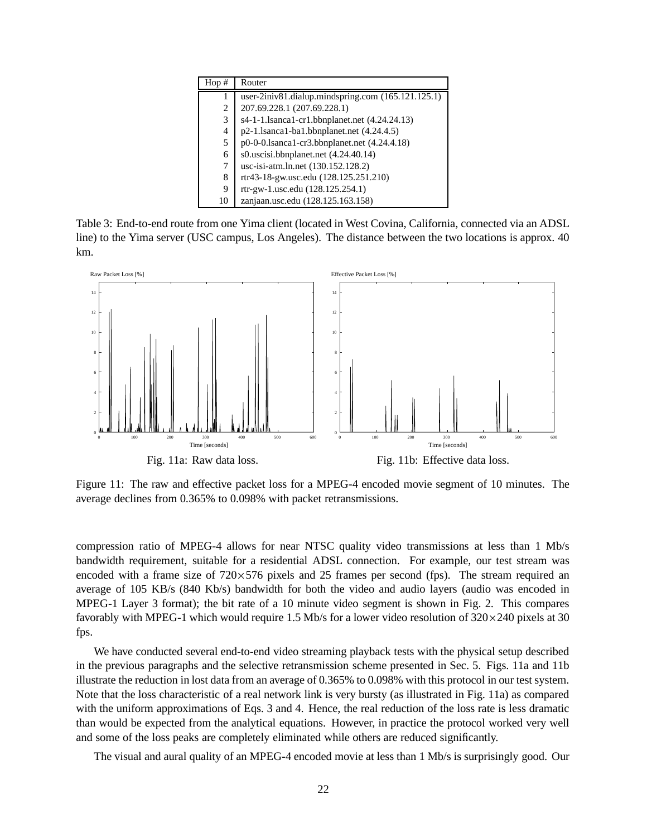| Hop# | Router                                             |
|------|----------------------------------------------------|
|      | user-2iniv81.dialup.mindspring.com (165.121.125.1) |
| 2    | 207.69.228.1 (207.69.228.1)                        |
| 3    | s4-1-1.1sanca1-cr1.bbnplanet.net (4.24.24.13)      |
| 4    | $p2-1$ .lsanca1-ba1.bbnplanet.net $(4.24.4.5)$     |
| 5    | $p0-0$ -0.1sanca1-cr3.bbnplanet.net $(4.24.4.18)$  |
| 6    | $s0.$ uscisi.bbnplanet.net $(4.24.40.14)$          |
| 7    | usc-isi-atm.ln.net (130.152.128.2)                 |
| 8    | rtr43-18-gw.usc.edu (128.125.251.210)              |
| 9    | rtr-gw-1.usc.edu (128.125.254.1)                   |
| 10   | zanjaan.usc.edu (128.125.163.158)                  |

Table 3: End-to-end route from one Yima client (located in West Covina, California, connected via an ADSL line) to the Yima server (USC campus, Los Angeles). The distance between the two locations is approx. 40 km.



Figure 11: The raw and effective packet loss for a MPEG-4 encoded movie segment of 10 minutes. The average declines from 0.365% to 0.098% with packet retransmissions.

compression ratio of MPEG-4 allows for near NTSC quality video transmissions at less than 1 Mb/s bandwidth requirement, suitable for a residential ADSL connection. For example, our test stream was encoded with a frame size of  $720 \times 576$  pixels and 25 frames per second (fps). The stream required an average of 105 KB/s (840 Kb/s) bandwidth for both the video and audio layers (audio was encoded in MPEG-1 Layer 3 format); the bit rate of a 10 minute video segment is shown in Fig. 2. This compares favorably with MPEG-1 which would require 1.5 Mb/s for a lower video resolution of  $320 \times 240$  pixels at 30 fps.

We have conducted several end-to-end video streaming playback tests with the physical setup described in the previous paragraphs and the selective retransmission scheme presented in Sec. 5. Figs. 11a and 11b illustrate the reduction in lost data from an average of 0.365% to 0.098% with this protocol in our test system. Note that the loss characteristic of a real network link is very bursty (as illustrated in Fig. 11a) as compared with the uniform approximations of Eqs. 3 and 4. Hence, the real reduction of the loss rate is less dramatic than would be expected from the analytical equations. However, in practice the protocol worked very well and some of the loss peaks are completely eliminated while others are reduced significantly.

The visual and aural quality of an MPEG-4 encoded movie at less than 1 Mb/s is surprisingly good. Our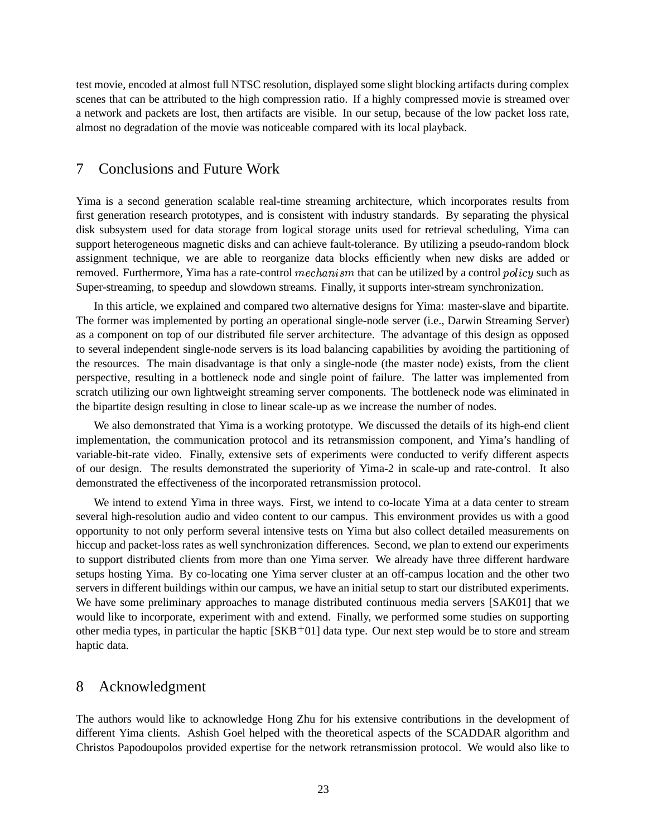test movie, encoded at almost full NTSC resolution, displayed some slight blocking artifacts during complex scenes that can be attributed to the high compression ratio. If a highly compressed movie is streamed over a network and packets are lost, then artifacts are visible. In our setup, because of the low packet loss rate, almost no degradation of the movie was noticeable compared with its local playback.

# 7 Conclusions and Future Work

Yima is a second generation scalable real-time streaming architecture, which incorporates results from first generation research prototypes, and is consistent with industry standards. By separating the physical disk subsystem used for data storage from logical storage units used for retrieval scheduling, Yima can support heterogeneous magnetic disks and can achieve fault-tolerance. By utilizing a pseudo-random block assignment technique, we are able to reorganize data blocks efficiently when new disks are added or removed. Furthermore, Yima has a rate-control  $mechanism$  that can be utilized by a control  $policy$  such as Super-streaming, to speedup and slowdown streams. Finally, it supports inter-stream synchronization.

In this article, we explained and compared two alternative designs for Yima: master-slave and bipartite. The former was implemented by porting an operational single-node server (i.e., Darwin Streaming Server) as a component on top of our distributed file server architecture. The advantage of this design as opposed to several independent single-node servers is its load balancing capabilities by avoiding the partitioning of the resources. The main disadvantage is that only a single-node (the master node) exists, from the client perspective, resulting in a bottleneck node and single point of failure. The latter was implemented from scratch utilizing our own lightweight streaming server components. The bottleneck node was eliminated in the bipartite design resulting in close to linear scale-up as we increase the number of nodes.

We also demonstrated that Yima is a working prototype. We discussed the details of its high-end client implementation, the communication protocol and its retransmission component, and Yima's handling of variable-bit-rate video. Finally, extensive sets of experiments were conducted to verify different aspects of our design. The results demonstrated the superiority of Yima-2 in scale-up and rate-control. It also demonstrated the effectiveness of the incorporated retransmission protocol.

We intend to extend Yima in three ways. First, we intend to co-locate Yima at a data center to stream several high-resolution audio and video content to our campus. This environment provides us with a good opportunity to not only perform several intensive tests on Yima but also collect detailed measurements on hiccup and packet-loss rates as well synchronization differences. Second, we plan to extend our experiments to support distributed clients from more than one Yima server. We already have three different hardware setups hosting Yima. By co-locating one Yima server cluster at an off-campus location and the other two servers in different buildings within our campus, we have an initial setup to start our distributed experiments. We have some preliminary approaches to manage distributed continuous media servers [SAK01] that we would like to incorporate, experiment with and extend. Finally, we performed some studies on supporting other media types, in particular the haptic  $[SKB<sup>+</sup>01]$  data type. Our next step would be to store and stream haptic data.

## 8 Acknowledgment

The authors would like to acknowledge Hong Zhu for his extensive contributions in the development of different Yima clients. Ashish Goel helped with the theoretical aspects of the SCADDAR algorithm and Christos Papodoupolos provided expertise for the network retransmission protocol. We would also like to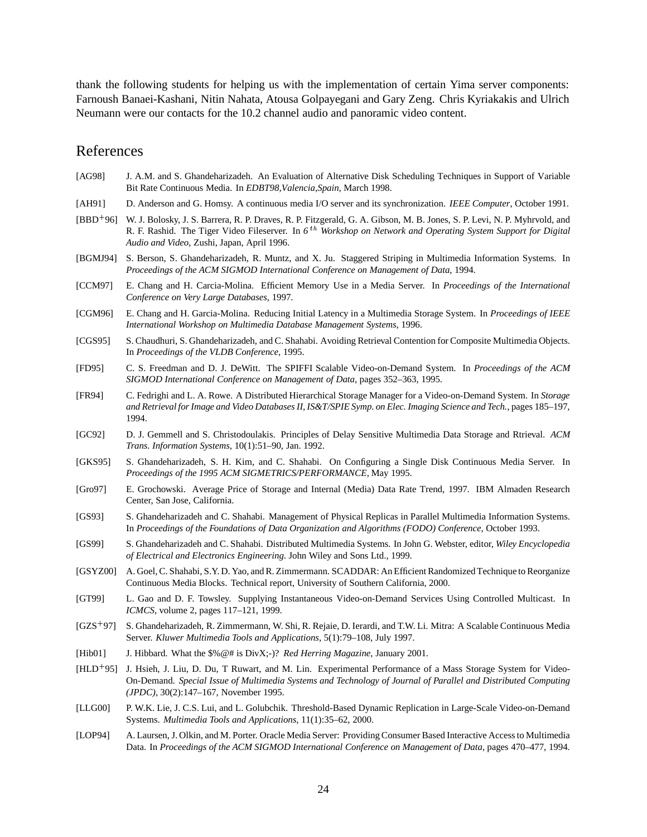thank the following students for helping us with the implementation of certain Yima server components: Farnoush Banaei-Kashani, Nitin Nahata, Atousa Golpayegani and Gary Zeng. Chris Kyriakakis and Ulrich Neumann were our contacts for the 10.2 channel audio and panoramic video content.

## References

- [AG98] J. A.M. and S. Ghandeharizadeh. An Evaluation of Alternative Disk Scheduling Techniques in Support of Variable Bit Rate Continuous Media. In *EDBT98,Valencia,Spain*, March 1998.
- [AH91] D. Anderson and G. Homsy. A continuous media I/O server and its synchronization. *IEEE Computer*, October 1991.
- [BBD<sup>+</sup>96] W. J. Bolosky, J. S. Barrera, R. P. Draves, R. P. Fitzgerald, G. A. Gibson, M. B. Jones, S. P. Levi, N. P. Myhrvold, and R. F. Rashid. The Tiger Video Fileserver. In 6<sup>th</sup> Workshop on Network and Operating System Support for Digital *Audio and Video*, Zushi, Japan, April 1996.
- [BGMJ94] S. Berson, S. Ghandeharizadeh, R. Muntz, and X. Ju. Staggered Striping in Multimedia Information Systems. In *Proceedings of the ACM SIGMOD International Conference on Management of Data*, 1994.
- [CCM97] E. Chang and H. Carcia-Molina. Efficient Memory Use in a Media Server. In *Proceedings of the International Conference on Very Large Databases*, 1997.
- [CGM96] E. Chang and H. Garcia-Molina. Reducing Initial Latency in a Multimedia Storage System. In *Proceedings of IEEE International Workshop on Multimedia Database Management Systems*, 1996.
- [CGS95] S. Chaudhuri, S. Ghandeharizadeh, and C. Shahabi. Avoiding Retrieval Contention for Composite Multimedia Objects. In *Proceedings of the VLDB Conference*, 1995.
- [FD95] C. S. Freedman and D. J. DeWitt. The SPIFFI Scalable Video-on-Demand System. In *Proceedings of the ACM SIGMOD International Conference on Management of Data*, pages 352–363, 1995.
- [FR94] C. Fedrighi and L. A. Rowe. A Distributed Hierarchical Storage Manager for a Video-on-Demand System. In *Storage and Retrieval forImage and Video DatabasesII, IS&T/SPIE Symp. on Elec. Imaging Science and Tech.*, pages 185–197, 1994.
- [GC92] D. J. Gemmell and S. Christodoulakis. Principles of Delay Sensitive Multimedia Data Storage and Rtrieval. *ACM Trans. Information Systems*, 10(1):51–90, Jan. 1992.
- [GKS95] S. Ghandeharizadeh, S. H. Kim, and C. Shahabi. On Configuring a Single Disk Continuous Media Server. In *Proceedings of the 1995 ACM SIGMETRICS/PERFORMANCE*, May 1995.
- [Gro97] E. Grochowski. Average Price of Storage and Internal (Media) Data Rate Trend, 1997. IBM Almaden Research Center, San Jose, California.
- [GS93] S. Ghandeharizadeh and C. Shahabi. Management of Physical Replicas in Parallel Multimedia Information Systems. In *Proceedings of the Foundations of Data Organization and Algorithms (FODO) Conference*, October 1993.
- [GS99] S. Ghandeharizadeh and C. Shahabi. Distributed Multimedia Systems. In John G. Webster, editor, *Wiley Encyclopedia of Electrical and Electronics Engineering*. John Wiley and Sons Ltd., 1999.
- [GSYZ00] A. Goel, C. Shahabi, S.Y. D. Yao, and R. Zimmermann. SCADDAR: An Efficient Randomized Technique to Reorganize Continuous Media Blocks. Technical report, University of Southern California, 2000.
- [GT99] L. Gao and D. F. Towsley. Supplying Instantaneous Video-on-Demand Services Using Controlled Multicast. In *ICMCS*, volume 2, pages 117–121, 1999.
- [GZS 97] S. Ghandeharizadeh, R. Zimmermann, W. Shi, R. Rejaie, D. Ierardi, and T.W. Li. Mitra: A Scalable Continuous Media Server. *Kluwer Multimedia Tools and Applications*, 5(1):79–108, July 1997.
- [Hib01] J. Hibbard. What the \$%@# is DivX;-)? *Red Herring Magazine*, January 2001.
- [HLD<sup>+</sup>95] J. Hsieh, J. Liu, D. Du, T Ruwart, and M. Lin. Experimental Performance of a Mass Storage System for Video-On-Demand. *Special Issue of Multimedia Systems and Technology of Journal of Parallel and Distributed Computing (JPDC)*, 30(2):147–167, November 1995.
- [LLG00] P. W.K. Lie, J. C.S. Lui, and L. Golubchik. Threshold-Based Dynamic Replication in Large-Scale Video-on-Demand Systems. *Multimedia Tools and Applications*, 11(1):35–62, 2000.
- [LOP94] A. Laursen, J. Olkin, and M. Porter. Oracle Media Server: Providing Consumer Based Interactive Accessto Multimedia Data. In *Proceedings of the ACM SIGMOD International Conference on Management of Data*, pages 470–477, 1994.